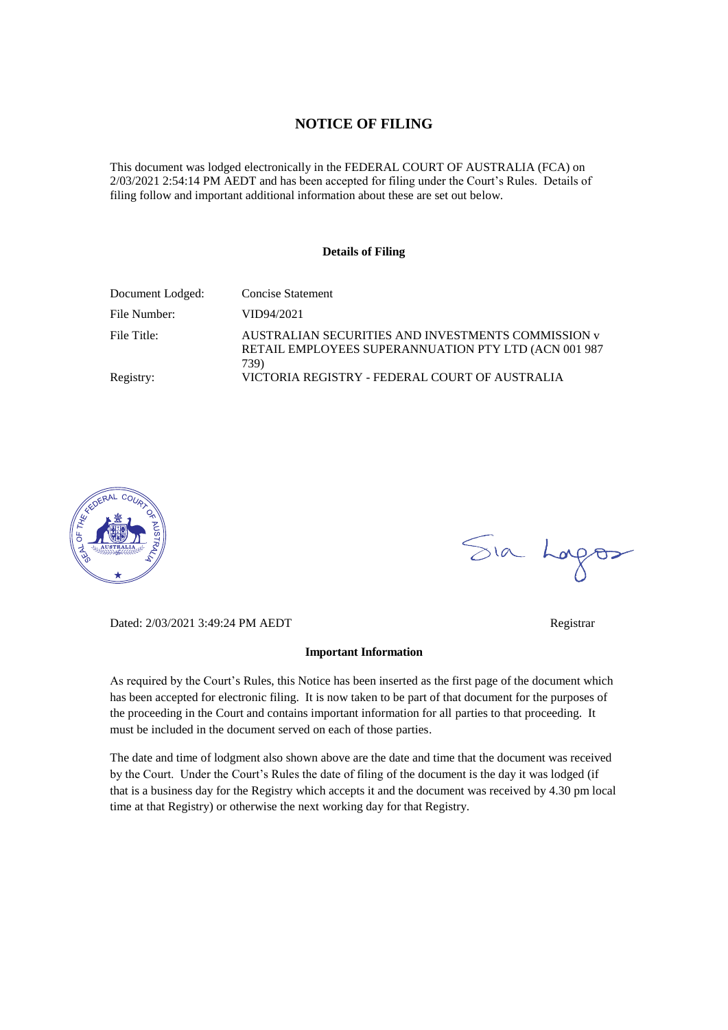#### **NOTICE OF FILING**

This document was lodged electronically in the FEDERAL COURT OF AUSTRALIA (FCA) on 2/03/2021 2:54:14 PM AEDT and has been accepted for filing under the Court's Rules. Details of filing follow and important additional information about these are set out below.

#### **Details of Filing**

| Document Lodged: | <b>Concise Statement</b>                                                                                            |
|------------------|---------------------------------------------------------------------------------------------------------------------|
| File Number:     | VID94/2021                                                                                                          |
| File Title:      | AUSTRALIAN SECURITIES AND INVESTMENTS COMMISSION v<br>RETAIL EMPLOYEES SUPERANNUATION PTY LTD (ACN 001 987)<br>739) |
| Registry:        | VICTORIA REGISTRY - FEDERAL COURT OF AUSTRALIA                                                                      |



Sia Lorgos

Dated: 2/03/2021 3:49:24 PM AEDT Registrar

As required by the Court's Rules, this Notice has been inserted as the first page of the document which has been accepted for electronic filing. It is now taken to be part of that document for the purposes of the proceeding in the Court and contains important information for all parties to that proceeding. It must be included in the document served on each of those parties.

**Important Information** 

The date and time of lodgment also shown above are the date and time that the document was received by the Court. Under the Court's Rules the date of filing of the document is the day it was lodged (if that is a business day for the Registry which accepts it and the document was received by 4.30 pm local time at that Registry) or otherwise the next working day for that Registry.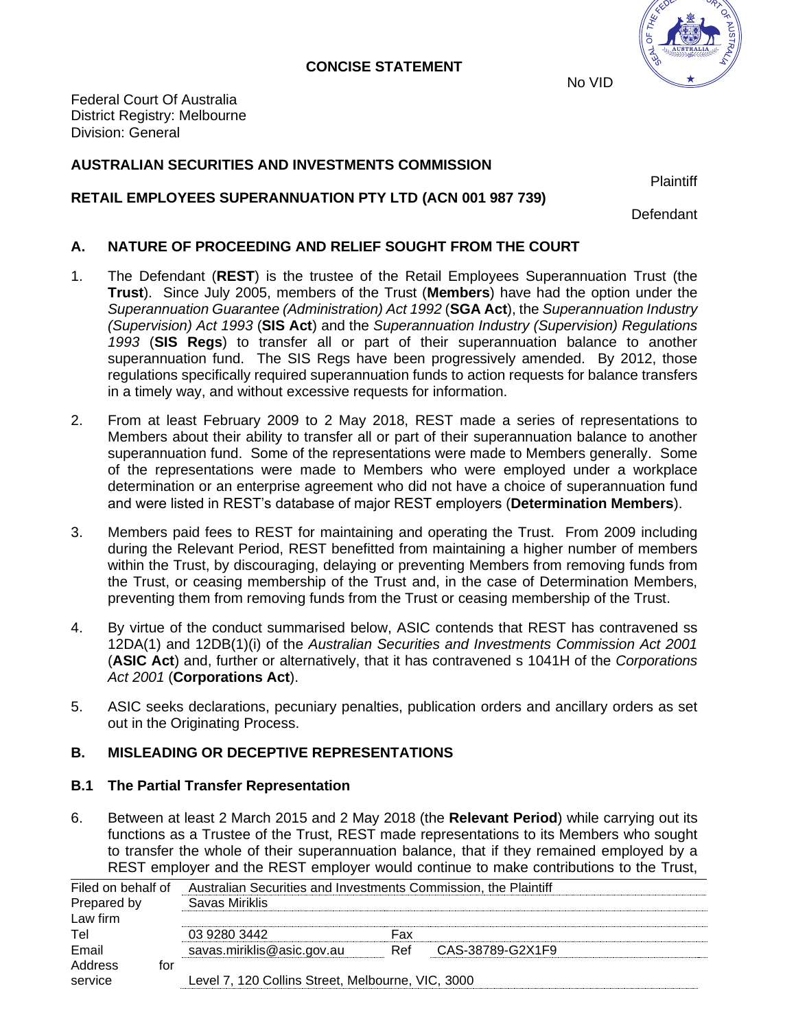#### **CONCISE STATEMENT**



No VID

Federal Court Of Australia District Registry: Melbourne Division: General

### **AUSTRALIAN SECURITIES AND INVESTMENTS COMMISSION**

**Plaintiff** 

# **RETAIL EMPLOYEES SUPERANNUATION PTY LTD (ACN 001 987 739)**

**Defendant** 

# **A. NATURE OF PROCEEDING AND RELIEF SOUGHT FROM THE COURT**

- 1. The Defendant (**REST**) is the trustee of the Retail Employees Superannuation Trust (the **Trust**). Since July 2005, members of the Trust (**Members**) have had the option under the *Superannuation Guarantee (Administration) Act 1992* (**SGA Act**), the *Superannuation Industry (Supervision) Act 1993* (**SIS Act**) and the *Superannuation Industry (Supervision) Regulations 1993* (**SIS Regs**) to transfer all or part of their superannuation balance to another superannuation fund. The SIS Regs have been progressively amended. By 2012, those regulations specifically required superannuation funds to action requests for balance transfers in a timely way, and without excessive requests for information.
- 2. From at least February 2009 to 2 May 2018, REST made a series of representations to Members about their ability to transfer all or part of their superannuation balance to another superannuation fund. Some of the representations were made to Members generally. Some of the representations were made to Members who were employed under a workplace determination or an enterprise agreement who did not have a choice of superannuation fund and were listed in REST's database of major REST employers (**Determination Members**).
- 3. Members paid fees to REST for maintaining and operating the Trust. From 2009 including during the Relevant Period, REST benefitted from maintaining a higher number of members within the Trust, by discouraging, delaying or preventing Members from removing funds from the Trust, or ceasing membership of the Trust and, in the case of Determination Members, preventing them from removing funds from the Trust or ceasing membership of the Trust.
- 4. By virtue of the conduct summarised below, ASIC contends that REST has contravened ss 12DA(1) and 12DB(1)(i) of the *Australian Securities and Investments Commission Act 2001* (**ASIC Act**) and, further or alternatively, that it has contravened s 1041H of the *Corporations Act 2001* (**Corporations Act**).
- 5. ASIC seeks declarations, pecuniary penalties, publication orders and ancillary orders as set out in the Originating Process.

# **B. MISLEADING OR DECEPTIVE REPRESENTATIONS**

# **B.1 The Partial Transfer Representation**

6. Between at least 2 March 2015 and 2 May 2018 (the **Relevant Period**) while carrying out its functions as a Trustee of the Trust, REST made representations to its Members who sought to transfer the whole of their superannuation balance, that if they remained employed by a REST employer and the REST employer would continue to make contributions to the Trust,

| Filed on behalf of        |                                                   | Australian Securities and Investments Commission, the Plaintiff |                  |  |  |
|---------------------------|---------------------------------------------------|-----------------------------------------------------------------|------------------|--|--|
| Prepared by               | Savas Miriklis                                    |                                                                 |                  |  |  |
| Law firm                  |                                                   |                                                                 |                  |  |  |
| Tel                       | 03 9280 3442                                      | Fax                                                             |                  |  |  |
| Email                     | savas.miriklis@asic.gov.au                        | Ref                                                             | CAS-38789-G2X1F9 |  |  |
| Address<br>tor<br>service | Level 7, 120 Collins Street, Melbourne, VIC, 3000 |                                                                 |                  |  |  |
|                           |                                                   |                                                                 |                  |  |  |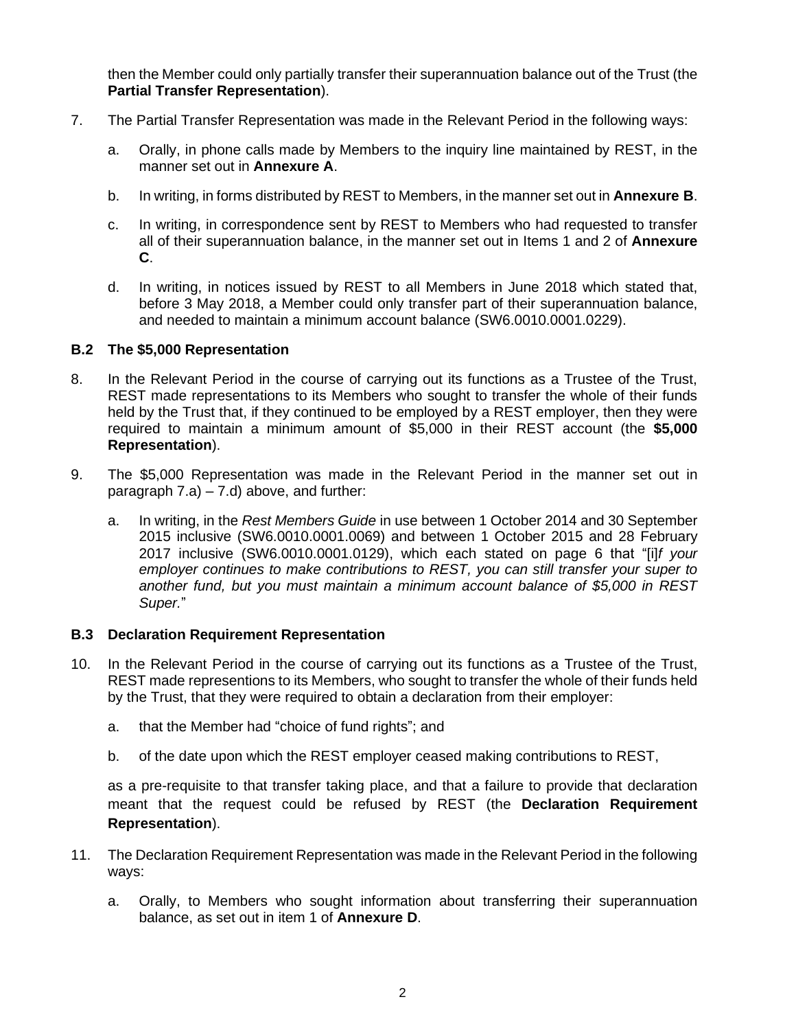then the Member could only partially transfer their superannuation balance out of the Trust (the **Partial Transfer Representation**).

- <span id="page-2-0"></span>7. The Partial Transfer Representation was made in the Relevant Period in the following ways:
	- a. Orally, in phone calls made by Members to the inquiry line maintained by REST, in the manner set out in **Annexure A**.
	- b. In writing, in forms distributed by REST to Members, in the manner set out in **Annexure B**.
	- c. In writing, in correspondence sent by REST to Members who had requested to transfer all of their superannuation balance, in the manner set out in Items 1 and 2 of **Annexure C**.
	- d. In writing, in notices issued by REST to all Members in June 2018 which stated that, before 3 May 2018, a Member could only transfer part of their superannuation balance, and needed to maintain a minimum account balance (SW6.0010.0001.0229).

#### <span id="page-2-1"></span>**B.2 The \$5,000 Representation**

- 8. In the Relevant Period in the course of carrying out its functions as a Trustee of the Trust, REST made representations to its Members who sought to transfer the whole of their funds held by the Trust that, if they continued to be employed by a REST employer, then they were required to maintain a minimum amount of \$5,000 in their REST account (the **\$5,000 Representation**).
- 9. The \$5,000 Representation was made in the Relevant Period in the manner set out in paragraph [7.a\)](#page-2-0) – [7.d\)](#page-2-1) above, and further:
	- a. In writing, in the *Rest Members Guide* in use between 1 October 2014 and 30 September 2015 inclusive (SW6.0010.0001.0069) and between 1 October 2015 and 28 February 2017 inclusive (SW6.0010.0001.0129), which each stated on page 6 that "[i]*f your employer continues to make contributions to REST, you can still transfer your super to another fund, but you must maintain a minimum account balance of \$5,000 in REST Super.*"

#### **B.3 Declaration Requirement Representation**

- <span id="page-2-2"></span>10. In the Relevant Period in the course of carrying out its functions as a Trustee of the Trust, REST made representions to its Members, who sought to transfer the whole of their funds held by the Trust, that they were required to obtain a declaration from their employer:
	- a. that the Member had "choice of fund rights"; and
	- b. of the date upon which the REST employer ceased making contributions to REST,

as a pre-requisite to that transfer taking place, and that a failure to provide that declaration meant that the request could be refused by REST (the **Declaration Requirement Representation**).

- 11. The Declaration Requirement Representation was made in the Relevant Period in the following ways:
	- a. Orally, to Members who sought information about transferring their superannuation balance, as set out in item 1 of **Annexure D**.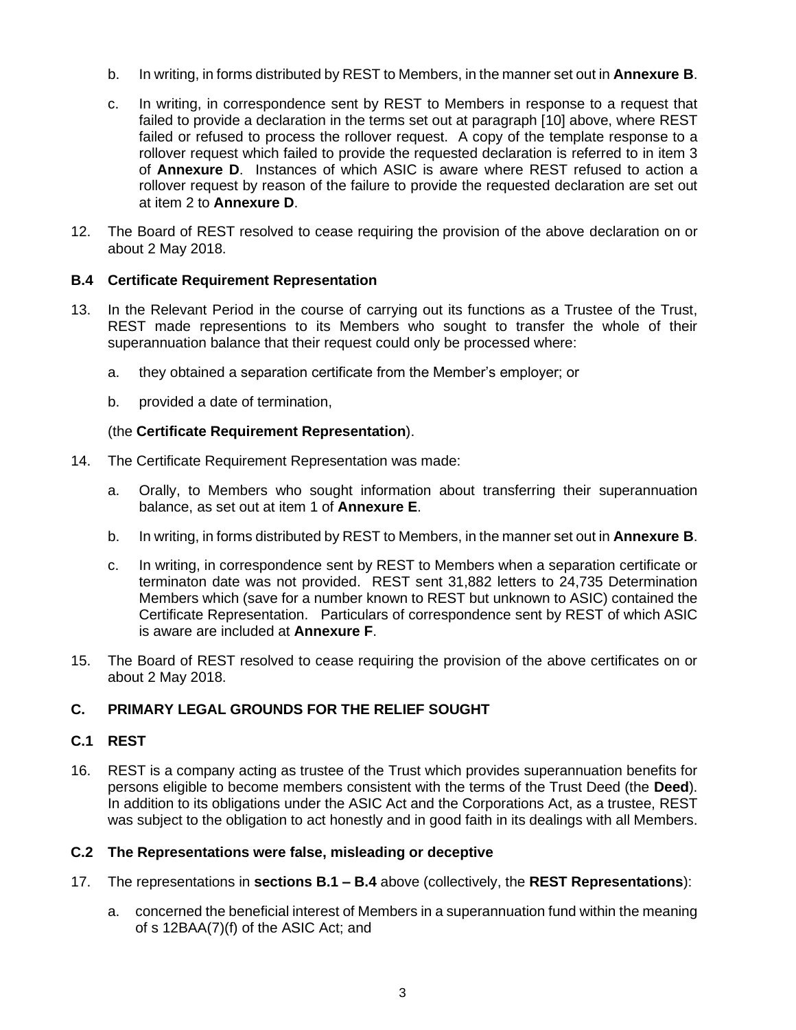- b. In writing, in forms distributed by REST to Members, in the manner set out in **Annexure B**.
- c. In writing, in correspondence sent by REST to Members in response to a request that failed to provide a declaration in the terms set out at paragraph [\[10\]](#page-2-2) above, where REST failed or refused to process the rollover request. A copy of the template response to a rollover request which failed to provide the requested declaration is referred to in item 3 of **Annexure D**. Instances of which ASIC is aware where REST refused to action a rollover request by reason of the failure to provide the requested declaration are set out at item 2 to **Annexure D**.
- 12. The Board of REST resolved to cease requiring the provision of the above declaration on or about 2 May 2018.

#### **B.4 Certificate Requirement Representation**

- 13. In the Relevant Period in the course of carrying out its functions as a Trustee of the Trust, REST made representions to its Members who sought to transfer the whole of their superannuation balance that their request could only be processed where:
	- a. they obtained a separation certificate from the Member's employer; or
	- b. provided a date of termination,

#### (the **Certificate Requirement Representation**).

- 14. The Certificate Requirement Representation was made:
	- a. Orally, to Members who sought information about transferring their superannuation balance, as set out at item 1 of **Annexure E**.
	- b. In writing, in forms distributed by REST to Members, in the manner set out in **Annexure B**.
	- c. In writing, in correspondence sent by REST to Members when a separation certificate or terminaton date was not provided. REST sent 31,882 letters to 24,735 Determination Members which (save for a number known to REST but unknown to ASIC) contained the Certificate Representation. Particulars of correspondence sent by REST of which ASIC is aware are included at **Annexure F**.
- 15. The Board of REST resolved to cease requiring the provision of the above certificates on or about 2 May 2018.

#### **C. PRIMARY LEGAL GROUNDS FOR THE RELIEF SOUGHT**

#### **C.1 REST**

16. REST is a company acting as trustee of the Trust which provides superannuation benefits for persons eligible to become members consistent with the terms of the Trust Deed (the **Deed**). In addition to its obligations under the ASIC Act and the Corporations Act, as a trustee, REST was subject to the obligation to act honestly and in good faith in its dealings with all Members.

#### **C.2 The Representations were false, misleading or deceptive**

- 17. The representations in **sections B.1 – B.4** above (collectively, the **REST Representations**):
	- a. concerned the beneficial interest of Members in a superannuation fund within the meaning of s 12BAA(7)(f) of the ASIC Act; and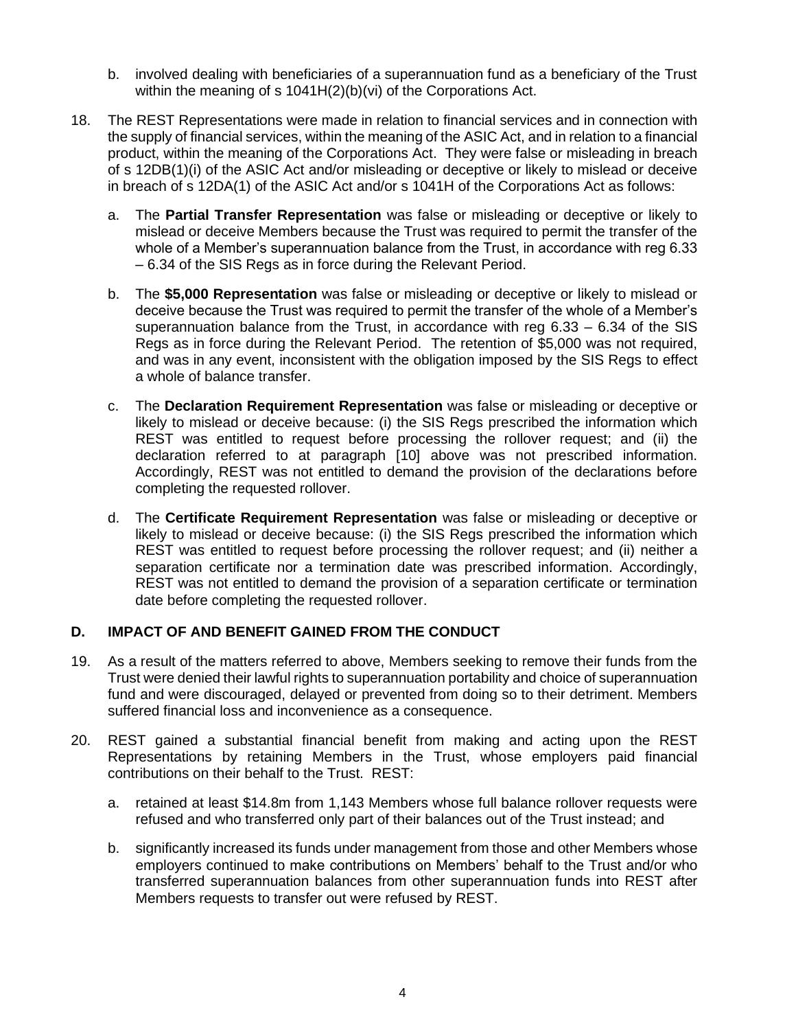- b. involved dealing with beneficiaries of a superannuation fund as a beneficiary of the Trust within the meaning of s 1041H(2)(b)(vi) of the Corporations Act.
- 18. The REST Representations were made in relation to financial services and in connection with the supply of financial services, within the meaning of the ASIC Act, and in relation to a financial product, within the meaning of the Corporations Act. They were false or misleading in breach of s 12DB(1)(i) of the ASIC Act and/or misleading or deceptive or likely to mislead or deceive in breach of s 12DA(1) of the ASIC Act and/or s 1041H of the Corporations Act as follows:
	- a. The **Partial Transfer Representation** was false or misleading or deceptive or likely to mislead or deceive Members because the Trust was required to permit the transfer of the whole of a Member's superannuation balance from the Trust, in accordance with reg 6.33 – 6.34 of the SIS Regs as in force during the Relevant Period.
	- b. The **\$5,000 Representation** was false or misleading or deceptive or likely to mislead or deceive because the Trust was required to permit the transfer of the whole of a Member's superannuation balance from the Trust, in accordance with reg 6.33 – 6.34 of the SIS Regs as in force during the Relevant Period. The retention of \$5,000 was not required, and was in any event, inconsistent with the obligation imposed by the SIS Regs to effect a whole of balance transfer.
	- c. The **Declaration Requirement Representation** was false or misleading or deceptive or likely to mislead or deceive because: (i) the SIS Regs prescribed the information which REST was entitled to request before processing the rollover request; and (ii) the declaration referred to at paragraph [\[10\]](#page-2-2) above was not prescribed information. Accordingly, REST was not entitled to demand the provision of the declarations before completing the requested rollover.
	- d. The **Certificate Requirement Representation** was false or misleading or deceptive or likely to mislead or deceive because: (i) the SIS Regs prescribed the information which REST was entitled to request before processing the rollover request; and (ii) neither a separation certificate nor a termination date was prescribed information. Accordingly, REST was not entitled to demand the provision of a separation certificate or termination date before completing the requested rollover.

#### **D. IMPACT OF AND BENEFIT GAINED FROM THE CONDUCT**

- 19. As a result of the matters referred to above, Members seeking to remove their funds from the Trust were denied their lawful rights to superannuation portability and choice of superannuation fund and were discouraged, delayed or prevented from doing so to their detriment. Members suffered financial loss and inconvenience as a consequence.
- 20. REST gained a substantial financial benefit from making and acting upon the REST Representations by retaining Members in the Trust, whose employers paid financial contributions on their behalf to the Trust. REST:
	- a. retained at least \$14.8m from 1,143 Members whose full balance rollover requests were refused and who transferred only part of their balances out of the Trust instead; and
	- b. significantly increased its funds under management from those and other Members whose employers continued to make contributions on Members' behalf to the Trust and/or who transferred superannuation balances from other superannuation funds into REST after Members requests to transfer out were refused by REST.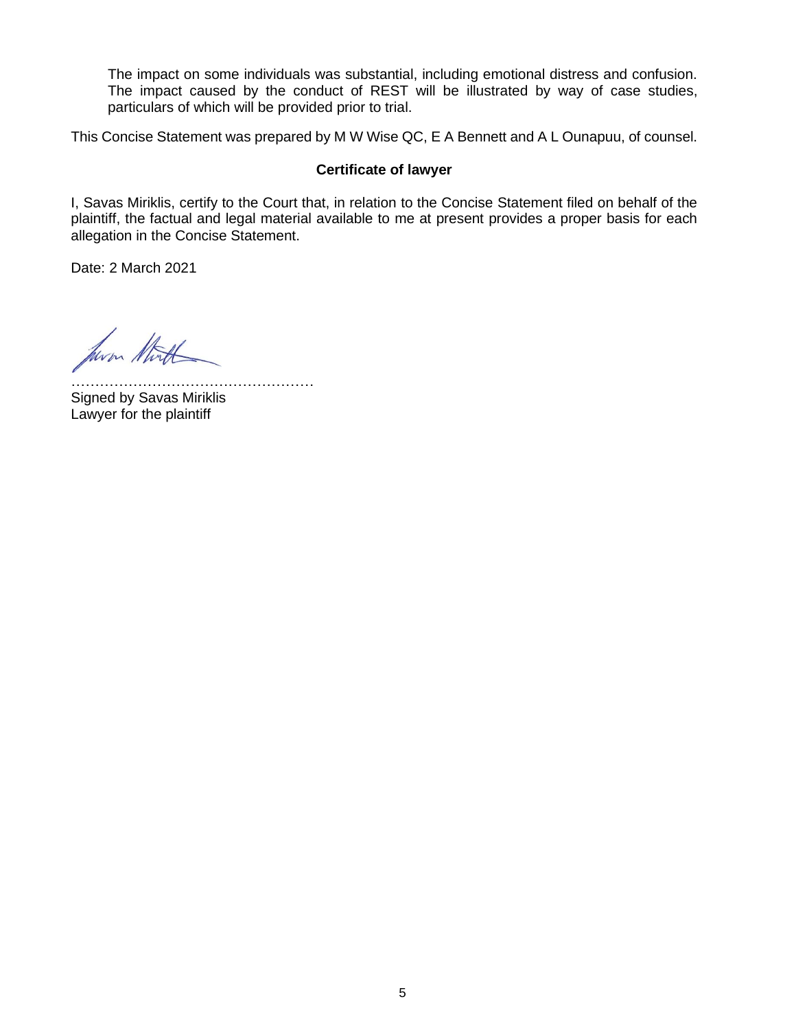The impact on some individuals was substantial, including emotional distress and confusion. The impact caused by the conduct of REST will be illustrated by way of case studies, particulars of which will be provided prior to trial.

This Concise Statement was prepared by M W Wise QC, E A Bennett and A L Ounapuu, of counsel.

#### **Certificate of lawyer**

I, Savas Miriklis, certify to the Court that, in relation to the Concise Statement filed on behalf of the plaintiff, the factual and legal material available to me at present provides a proper basis for each allegation in the Concise Statement.

Date: 2 March 2021

hum that

………………………………………………… Signed by Savas Miriklis Lawyer for the plaintiff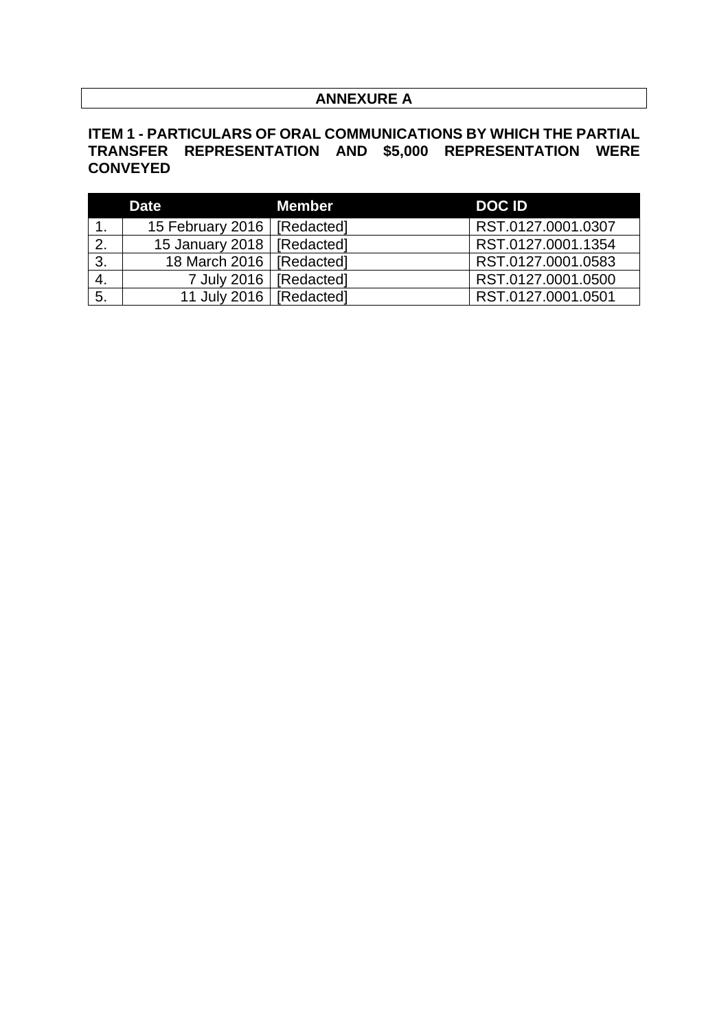# **ANNEXURE A**

# **ITEM 1 - PARTICULARS OF ORAL COMMUNICATIONS BY WHICH THE PARTIAL TRANSFER REPRESENTATION AND \$5,000 REPRESENTATION WERE CONVEYED**

|     | <b>Date</b>                   | <b>Member</b> | <b>DOCID</b>       |
|-----|-------------------------------|---------------|--------------------|
|     | 15 February 2016   [Redacted] |               | RST.0127.0001.0307 |
| -2. | 15 January 2018   [Redacted]  |               | RST.0127.0001.1354 |
| 3.  | 18 March 2016   [Redacted]    |               | RST.0127.0001.0583 |
|     | 7 July 2016   [Redacted]      |               | RST.0127.0001.0500 |
| 5.  | 11 July 2016   [Redacted]     |               | RST.0127.0001.0501 |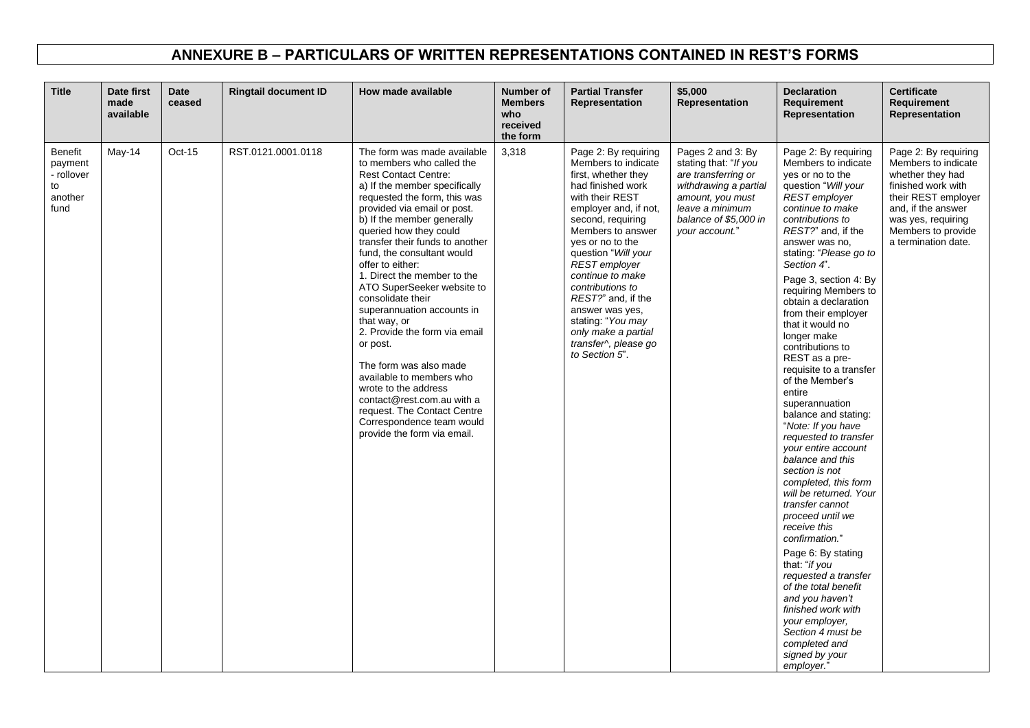# **ANNEXURE B – PARTICULARS OF WRITTEN REPRESENTATIONS CONTAINED IN REST'S FORMS**

| <b>Title</b>                                                     | Date first<br>made<br>available | <b>Date</b><br>ceased | <b>Ringtail document ID</b> | How made available                                                                                                                                                                                                                                                                                                                                                                                                                                                                                                                                                                                                                                                                                                       | <b>Number of</b><br><b>Members</b><br>who<br>received<br>the form | <b>Partial Transfer</b><br>Representation                                                                                                                                                                                                                                                                                                                                                                               | \$5,000<br>Representation                                                                                                                                                    | <b>Declaration</b><br>Requirement<br>Representation                                                                                                                                                                                                                                                                                                                                                                                                                                                                                                                                                                                                                                                                                                                                                                                                                                                                                                                        | <b>Certificate</b><br>Requirement<br>Representation                                                                                                                                                   |
|------------------------------------------------------------------|---------------------------------|-----------------------|-----------------------------|--------------------------------------------------------------------------------------------------------------------------------------------------------------------------------------------------------------------------------------------------------------------------------------------------------------------------------------------------------------------------------------------------------------------------------------------------------------------------------------------------------------------------------------------------------------------------------------------------------------------------------------------------------------------------------------------------------------------------|-------------------------------------------------------------------|-------------------------------------------------------------------------------------------------------------------------------------------------------------------------------------------------------------------------------------------------------------------------------------------------------------------------------------------------------------------------------------------------------------------------|------------------------------------------------------------------------------------------------------------------------------------------------------------------------------|----------------------------------------------------------------------------------------------------------------------------------------------------------------------------------------------------------------------------------------------------------------------------------------------------------------------------------------------------------------------------------------------------------------------------------------------------------------------------------------------------------------------------------------------------------------------------------------------------------------------------------------------------------------------------------------------------------------------------------------------------------------------------------------------------------------------------------------------------------------------------------------------------------------------------------------------------------------------------|-------------------------------------------------------------------------------------------------------------------------------------------------------------------------------------------------------|
| <b>Benefit</b><br>payment<br>- rollover<br>to<br>another<br>fund | May-14                          | Oct-15                | RST.0121.0001.0118          | The form was made available<br>to members who called the<br><b>Rest Contact Centre:</b><br>a) If the member specifically<br>requested the form, this was<br>provided via email or post.<br>b) If the member generally<br>queried how they could<br>transfer their funds to another<br>fund, the consultant would<br>offer to either:<br>1. Direct the member to the<br>ATO SuperSeeker website to<br>consolidate their<br>superannuation accounts in<br>that way, or<br>2. Provide the form via email<br>or post.<br>The form was also made<br>available to members who<br>wrote to the address<br>contact@rest.com.au with a<br>request. The Contact Centre<br>Correspondence team would<br>provide the form via email. | 3,318                                                             | Page 2: By requiring<br>Members to indicate<br>first, whether they<br>had finished work<br>with their REST<br>employer and, if not,<br>second, requiring<br>Members to answer<br>yes or no to the<br>question "Will your<br><b>REST</b> employer<br>continue to make<br>contributions to<br>REST?" and, if the<br>answer was yes.<br>stating: "You may<br>only make a partial<br>transfer^, please go<br>to Section 5". | Pages 2 and 3: By<br>stating that: "If you<br>are transferring or<br>withdrawing a partial<br>amount, you must<br>leave a minimum<br>balance of \$5,000 in<br>your account." | Page 2: By requiring<br>Members to indicate<br>yes or no to the<br>question "Will your<br>REST employer<br>continue to make<br>contributions to<br>REST?" and, if the<br>answer was no.<br>stating: "Please go to<br>Section 4".<br>Page 3, section 4: By<br>requiring Members to<br>obtain a declaration<br>from their employer<br>that it would no<br>longer make<br>contributions to<br>REST as a pre-<br>requisite to a transfer<br>of the Member's<br>entire<br>superannuation<br>balance and stating:<br>"Note: If you have<br>requested to transfer<br>your entire account<br>balance and this<br>section is not<br>completed, this form<br>will be returned. Your<br>transfer cannot<br>proceed until we<br>receive this<br>confirmation."<br>Page 6: By stating<br>that: "if you<br>requested a transfer<br>of the total benefit<br>and you haven't<br>finished work with<br>your employer.<br>Section 4 must be<br>completed and<br>signed by your<br>employer." | Page 2: By requiring<br>Members to indicate<br>whether they had<br>finished work with<br>their REST employer<br>and, if the answer<br>was yes, requiring<br>Members to provide<br>a termination date. |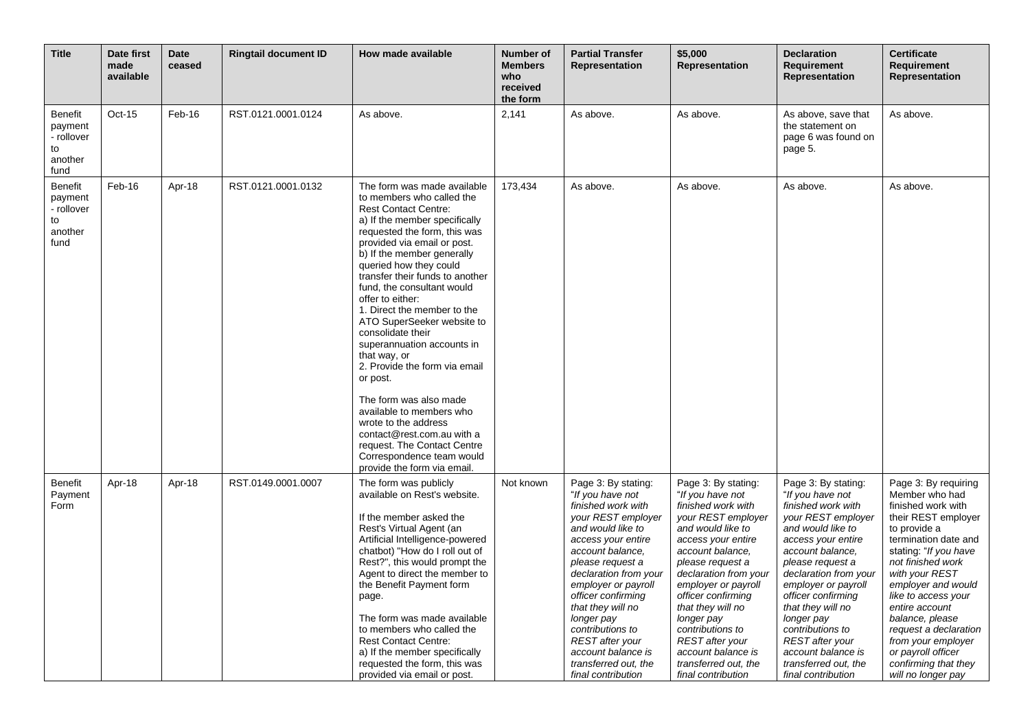| <b>Title</b>                                                     | Date first<br>made<br>available | <b>Date</b><br>ceased | <b>Ringtail document ID</b> | How made available                                                                                                                                                                                                                                                                                                                                                                                                                                                                                                                                                                                                                                                                                                       | <b>Number of</b><br><b>Members</b><br>who<br>received<br>the form | <b>Partial Transfer</b><br>Representation                                                                                                                                                                                                                                                                                                                                                  | \$5,000<br>Representation                                                                                                                                                                                                                                                                                                                                                                  | <b>Declaration</b><br><b>Requirement</b><br>Representation                                                                                                                                                                                                                                                                                                                                 | <b>Certificate</b><br><b>Requirement</b><br>Representation                                                                                                                                                                                                                                                                                                                                       |
|------------------------------------------------------------------|---------------------------------|-----------------------|-----------------------------|--------------------------------------------------------------------------------------------------------------------------------------------------------------------------------------------------------------------------------------------------------------------------------------------------------------------------------------------------------------------------------------------------------------------------------------------------------------------------------------------------------------------------------------------------------------------------------------------------------------------------------------------------------------------------------------------------------------------------|-------------------------------------------------------------------|--------------------------------------------------------------------------------------------------------------------------------------------------------------------------------------------------------------------------------------------------------------------------------------------------------------------------------------------------------------------------------------------|--------------------------------------------------------------------------------------------------------------------------------------------------------------------------------------------------------------------------------------------------------------------------------------------------------------------------------------------------------------------------------------------|--------------------------------------------------------------------------------------------------------------------------------------------------------------------------------------------------------------------------------------------------------------------------------------------------------------------------------------------------------------------------------------------|--------------------------------------------------------------------------------------------------------------------------------------------------------------------------------------------------------------------------------------------------------------------------------------------------------------------------------------------------------------------------------------------------|
| <b>Benefit</b><br>payment<br>- rollover<br>to<br>another<br>fund | $Oct-15$                        | Feb-16                | RST.0121.0001.0124          | As above.                                                                                                                                                                                                                                                                                                                                                                                                                                                                                                                                                                                                                                                                                                                | 2,141                                                             | As above.                                                                                                                                                                                                                                                                                                                                                                                  | As above.                                                                                                                                                                                                                                                                                                                                                                                  | As above, save that<br>the statement on<br>page 6 was found on<br>page 5.                                                                                                                                                                                                                                                                                                                  | As above.                                                                                                                                                                                                                                                                                                                                                                                        |
| <b>Benefit</b><br>payment<br>- rollover<br>to<br>another<br>fund | Feb-16                          | Apr-18                | RST.0121.0001.0132          | The form was made available<br>to members who called the<br><b>Rest Contact Centre:</b><br>a) If the member specifically<br>requested the form, this was<br>provided via email or post.<br>b) If the member generally<br>queried how they could<br>transfer their funds to another<br>fund, the consultant would<br>offer to either:<br>1. Direct the member to the<br>ATO SuperSeeker website to<br>consolidate their<br>superannuation accounts in<br>that way, or<br>2. Provide the form via email<br>or post.<br>The form was also made<br>available to members who<br>wrote to the address<br>contact@rest.com.au with a<br>request. The Contact Centre<br>Correspondence team would<br>provide the form via email. | 173,434                                                           | As above.                                                                                                                                                                                                                                                                                                                                                                                  | As above.                                                                                                                                                                                                                                                                                                                                                                                  | As above.                                                                                                                                                                                                                                                                                                                                                                                  | As above.                                                                                                                                                                                                                                                                                                                                                                                        |
| Benefit<br>Payment<br>Form                                       | Apr-18                          | Apr-18                | RST.0149.0001.0007          | The form was publicly<br>available on Rest's website.<br>If the member asked the<br>Rest's Virtual Agent (an<br>Artificial Intelligence-powered<br>chatbot) "How do I roll out of<br>Rest?", this would prompt the<br>Agent to direct the member to<br>the Benefit Payment form<br>page.<br>The form was made available<br>to members who called the<br><b>Rest Contact Centre:</b><br>a) If the member specifically<br>requested the form, this was<br>provided via email or post.                                                                                                                                                                                                                                      | Not known                                                         | Page 3: By stating:<br>"If you have not<br>finished work with<br>your REST employer<br>and would like to<br>access your entire<br>account balance.<br>please request a<br>declaration from your<br>employer or payroll<br>officer confirming<br>that they will no<br>longer pay<br>contributions to<br>REST after your<br>account balance is<br>transferred out, the<br>final contribution | Page 3: By stating:<br>"If you have not<br>finished work with<br>your REST employer<br>and would like to<br>access your entire<br>account balance,<br>please request a<br>declaration from your<br>employer or payroll<br>officer confirming<br>that they will no<br>longer pay<br>contributions to<br>REST after your<br>account balance is<br>transferred out, the<br>final contribution | Page 3: By stating:<br>"If you have not<br>finished work with<br>your REST employer<br>and would like to<br>access your entire<br>account balance.<br>please request a<br>declaration from your<br>employer or payroll<br>officer confirming<br>that they will no<br>longer pay<br>contributions to<br>REST after your<br>account balance is<br>transferred out, the<br>final contribution | Page 3: By requiring<br>Member who had<br>finished work with<br>their REST employer<br>to provide a<br>termination date and<br>stating: "If you have<br>not finished work<br>with your REST<br>employer and would<br>like to access your<br>entire account<br>balance, please<br>request a declaration<br>from your employer<br>or payroll officer<br>confirming that they<br>will no longer pay |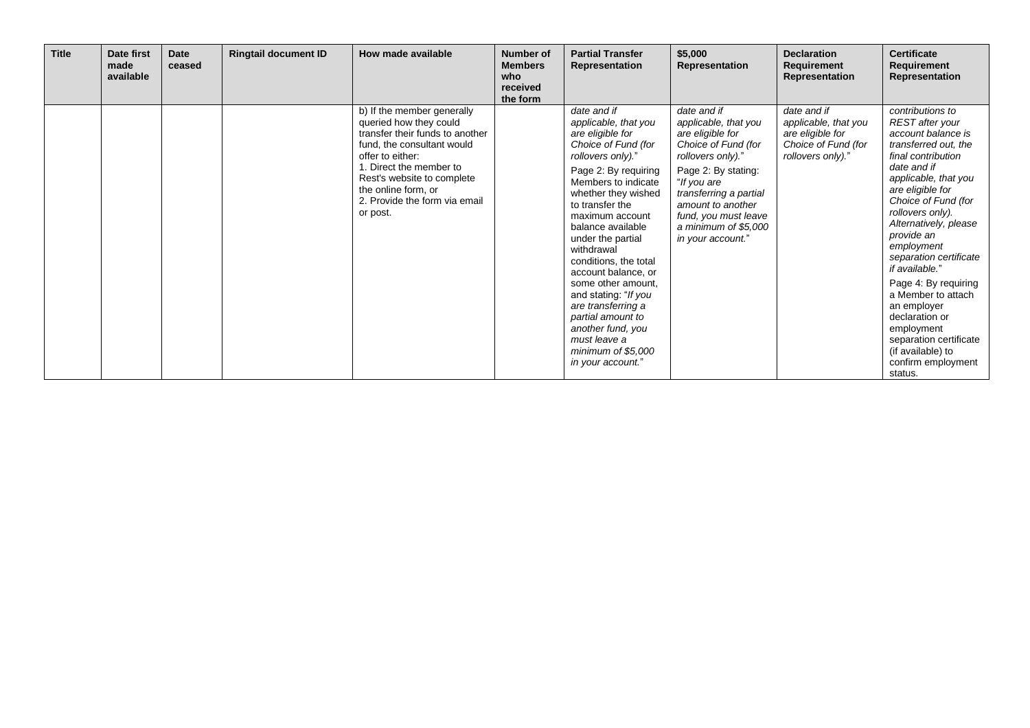| <b>Title</b> | Date first<br>made<br>available | <b>Date</b><br>ceased | <b>Ringtail document ID</b> | How made available                                                                                                                                                                                                                                                     | Number of<br><b>Members</b><br>who<br>received<br>the form | <b>Partial Transfer</b><br>Representation                                                                                                                                                                                                                                                                                                                                                                                                                                                        | \$5,000<br>Representation                                                                                                                                                                                                                                     | <b>Declaration</b><br>Requirement<br>Representation                                                 | <b>Certificate</b><br>Requirement<br>Representation                                                                                                                                                                                                                                                                                                                                                                                                                                         |
|--------------|---------------------------------|-----------------------|-----------------------------|------------------------------------------------------------------------------------------------------------------------------------------------------------------------------------------------------------------------------------------------------------------------|------------------------------------------------------------|--------------------------------------------------------------------------------------------------------------------------------------------------------------------------------------------------------------------------------------------------------------------------------------------------------------------------------------------------------------------------------------------------------------------------------------------------------------------------------------------------|---------------------------------------------------------------------------------------------------------------------------------------------------------------------------------------------------------------------------------------------------------------|-----------------------------------------------------------------------------------------------------|---------------------------------------------------------------------------------------------------------------------------------------------------------------------------------------------------------------------------------------------------------------------------------------------------------------------------------------------------------------------------------------------------------------------------------------------------------------------------------------------|
|              |                                 |                       |                             | b) If the member generally<br>queried how they could<br>transfer their funds to another<br>fund, the consultant would<br>offer to either:<br>1. Direct the member to<br>Rest's website to complete<br>the online form, or<br>2. Provide the form via email<br>or post. |                                                            | date and if<br>applicable, that you<br>are eligible for<br>Choice of Fund (for<br>rollovers only)."<br>Page 2: By requiring<br>Members to indicate<br>whether they wished<br>to transfer the<br>maximum account<br>balance available<br>under the partial<br>withdrawal<br>conditions, the total<br>account balance, or<br>some other amount.<br>and stating: "If you<br>are transferring a<br>partial amount to<br>another fund, you<br>must leave a<br>minimum of \$5,000<br>in your account.' | date and if<br>applicable, that you<br>are eligible for<br>Choice of Fund (for<br>rollovers only)."<br>Page 2: By stating:<br>"If you are<br>transferring a partial<br>amount to another<br>fund, you must leave<br>a minimum of \$5,000<br>in your account." | date and if<br>applicable, that you<br>are eligible for<br>Choice of Fund (for<br>rollovers only)." | contributions to<br>REST after your<br>account balance is<br>transferred out, the<br>final contribution<br>date and if<br>applicable, that you<br>are eligible for<br>Choice of Fund (for<br>rollovers only).<br>Alternatively, please<br>provide an<br>employment<br>separation certificate<br>if available."<br>Page 4: By requiring<br>a Member to attach<br>an employer<br>declaration or<br>employment<br>separation certificate<br>(if available) to<br>confirm employment<br>status. |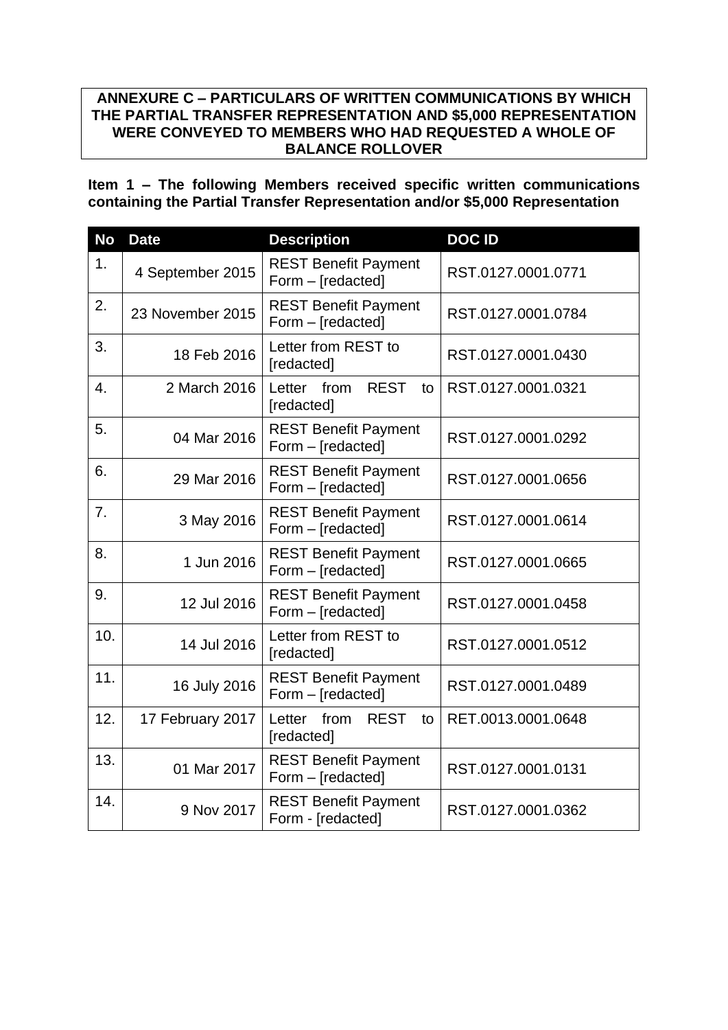# **ANNEXURE C – PARTICULARS OF WRITTEN COMMUNICATIONS BY WHICH THE PARTIAL TRANSFER REPRESENTATION AND \$5,000 REPRESENTATION WERE CONVEYED TO MEMBERS WHO HAD REQUESTED A WHOLE OF BALANCE ROLLOVER**

**Item 1 – The following Members received specific written communications containing the Partial Transfer Representation and/or \$5,000 Representation**

| <b>No</b>      | <b>Date</b>      | <b>Description</b>                                | <b>DOCID</b>       |
|----------------|------------------|---------------------------------------------------|--------------------|
| 1 <sub>1</sub> | 4 September 2015 | <b>REST Benefit Payment</b><br>Form - [redacted]  | RST.0127.0001.0771 |
| 2.             | 23 November 2015 | <b>REST Benefit Payment</b><br>Form - [redacted]  | RST.0127.0001.0784 |
| 3.             | 18 Feb 2016      | Letter from REST to<br>[redacted]                 | RST.0127.0001.0430 |
| 4.             | 2 March 2016     | <b>REST</b><br>Letter from<br>to<br>[redacted]    | RST.0127.0001.0321 |
| 5.             | 04 Mar 2016      | <b>REST Benefit Payment</b><br>Form - [redacted]  | RST.0127.0001.0292 |
| 6.             | 29 Mar 2016      | <b>REST Benefit Payment</b><br>Form - [redacted]  | RST.0127.0001.0656 |
| 7.             | 3 May 2016       | <b>REST Benefit Payment</b><br>Form - [redacted]  | RST.0127.0001.0614 |
| 8.             | 1 Jun 2016       | <b>REST Benefit Payment</b><br>Form - [redacted]  | RST.0127.0001.0665 |
| 9.             | 12 Jul 2016      | <b>REST Benefit Payment</b><br>Form - [redacted]  | RST.0127.0001.0458 |
| 10.            | 14 Jul 2016      | Letter from REST to<br>[redacted]                 | RST.0127.0001.0512 |
| 11.            | 16 July 2016     | <b>REST Benefit Payment</b><br>Form - [redacted]  | RST.0127.0001.0489 |
| 12.            | 17 February 2017 | from<br><b>REST</b><br>Letter<br>to<br>[redacted] | RET.0013.0001.0648 |
| 13.            | 01 Mar 2017      | <b>REST Benefit Payment</b><br>Form - [redacted]  | RST.0127.0001.0131 |
| 14.            | 9 Nov 2017       | <b>REST Benefit Payment</b><br>Form - [redacted]  | RST.0127.0001.0362 |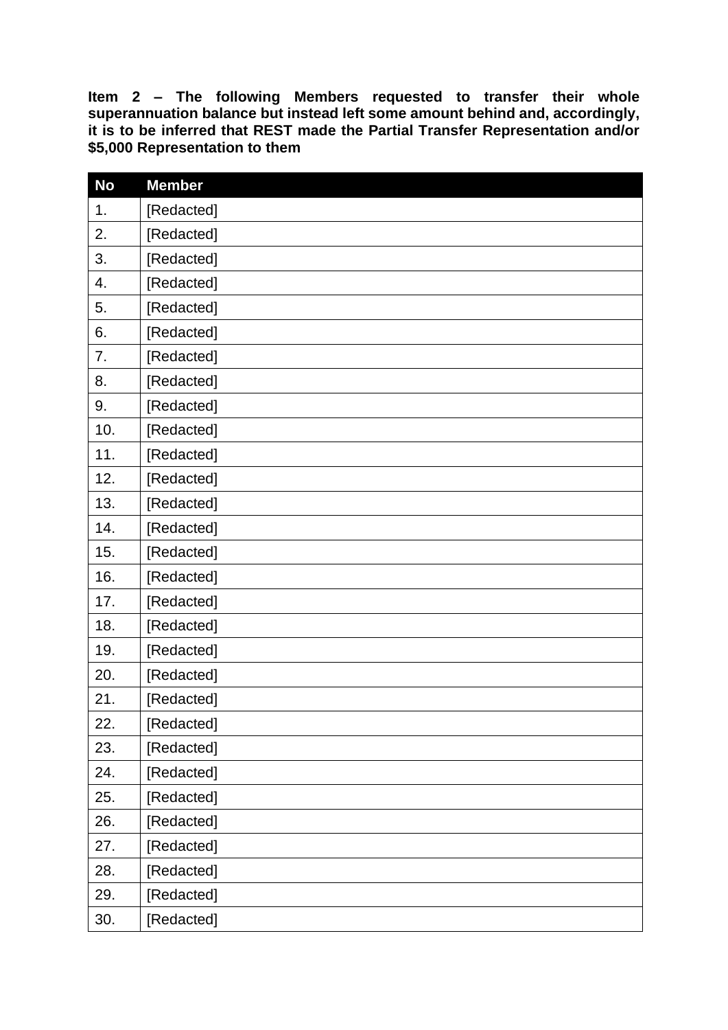**Item 2 – The following Members requested to transfer their whole superannuation balance but instead left some amount behind and, accordingly, it is to be inferred that REST made the Partial Transfer Representation and/or \$5,000 Representation to them**

| <b>No</b> | <b>Member</b> |
|-----------|---------------|
| 1.        | [Redacted]    |
| 2.        | [Redacted]    |
| 3.        | [Redacted]    |
| 4.        | [Redacted]    |
| 5.        | [Redacted]    |
| 6.        | [Redacted]    |
| 7.        | [Redacted]    |
| 8.        | [Redacted]    |
| 9.        | [Redacted]    |
| 10.       | [Redacted]    |
| 11.       | [Redacted]    |
| 12.       | [Redacted]    |
| 13.       | [Redacted]    |
| 14.       | [Redacted]    |
| 15.       | [Redacted]    |
| 16.       | [Redacted]    |
| 17.       | [Redacted]    |
| 18.       | [Redacted]    |
| 19.       | [Redacted]    |
| 20.       | [Redacted]    |
| 21.       | [Redacted]    |
| 22.       | [Redacted]    |
| 23.       | [Redacted]    |
| 24.       | [Redacted]    |
| 25.       | [Redacted]    |
| 26.       | [Redacted]    |
| 27.       | [Redacted]    |
| 28.       | [Redacted]    |
| 29.       | [Redacted]    |
| 30.       | [Redacted]    |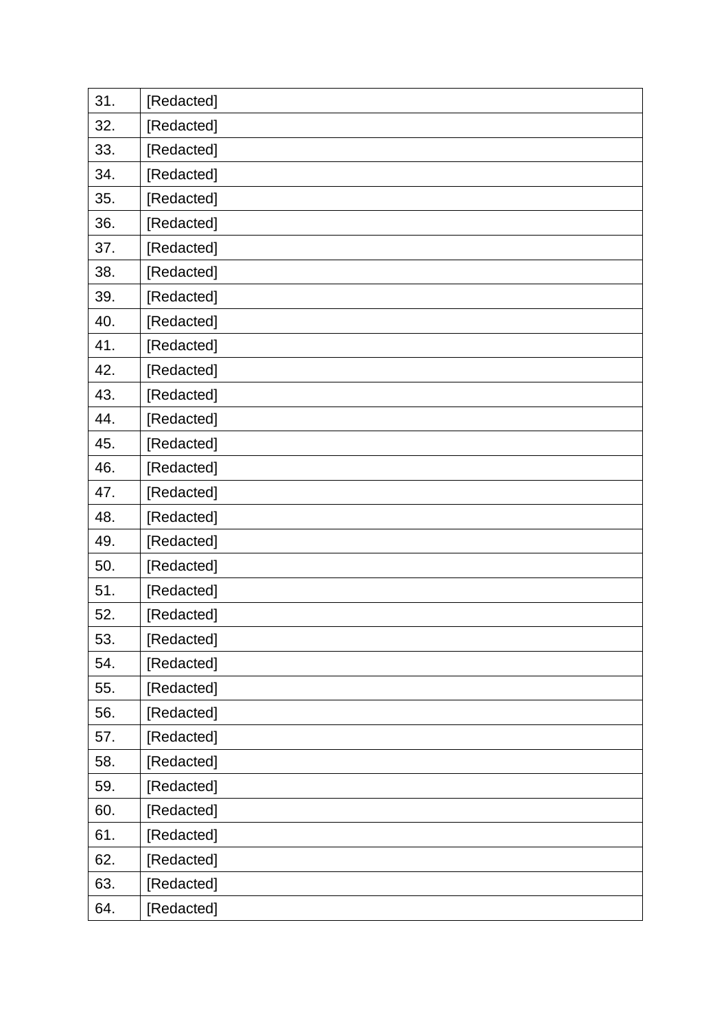| 31. | [Redacted] |
|-----|------------|
| 32. | [Redacted] |
| 33. | [Redacted] |
| 34. | [Redacted] |
| 35. | [Redacted] |
| 36. | [Redacted] |
| 37. | [Redacted] |
| 38. | [Redacted] |
| 39. | [Redacted] |
| 40. | [Redacted] |
| 41. | [Redacted] |
| 42. | [Redacted] |
| 43. | [Redacted] |
| 44. | [Redacted] |
| 45. | [Redacted] |
| 46. | [Redacted] |
| 47. | [Redacted] |
| 48. | [Redacted] |
| 49. | [Redacted] |
| 50. | [Redacted] |
| 51. | [Redacted] |
| 52. | [Redacted] |
| 53. | [Redacted] |
| 54. | [Redacted] |
| 55. | [Redacted] |
| 56. | [Redacted] |
| 57. | [Redacted] |
| 58. | [Redacted] |
| 59. | [Redacted] |
| 60. | [Redacted] |
| 61. | [Redacted] |
| 62. | [Redacted] |
| 63. | [Redacted] |
| 64. | [Redacted] |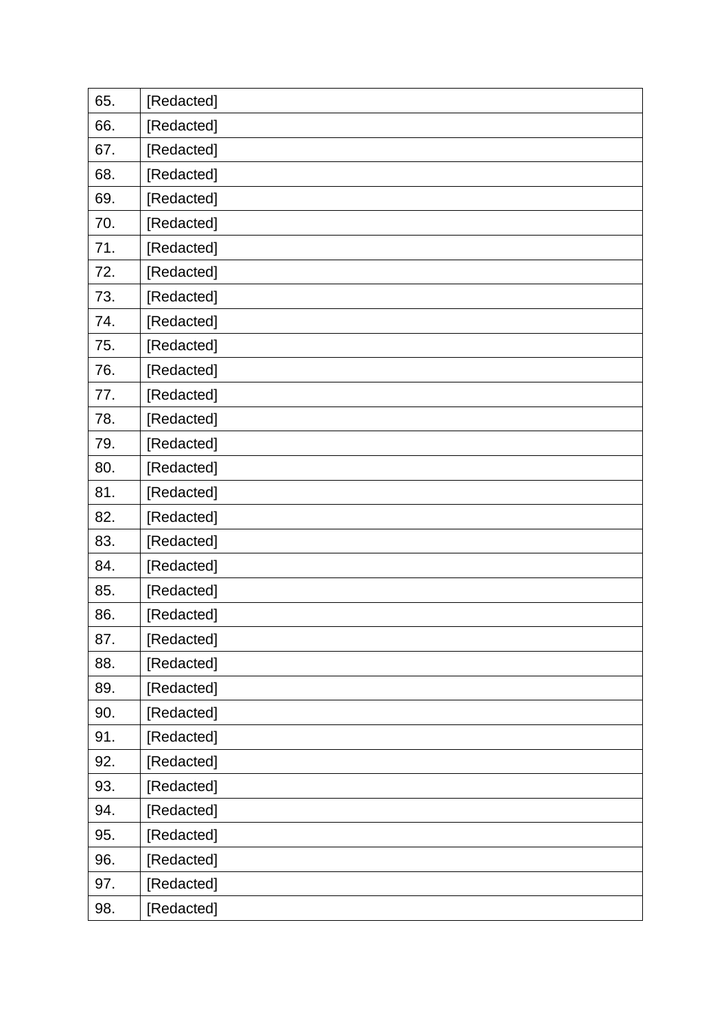| 65. | [Redacted] |
|-----|------------|
| 66. | [Redacted] |
| 67. | [Redacted] |
| 68. | [Redacted] |
| 69. | [Redacted] |
| 70. | [Redacted] |
| 71. | [Redacted] |
| 72. | [Redacted] |
| 73. | [Redacted] |
| 74. | [Redacted] |
| 75. | [Redacted] |
| 76. | [Redacted] |
| 77. | [Redacted] |
| 78. | [Redacted] |
| 79. | [Redacted] |
| 80. | [Redacted] |
| 81. | [Redacted] |
| 82. | [Redacted] |
| 83. | [Redacted] |
| 84. | [Redacted] |
| 85. | [Redacted] |
| 86. | [Redacted] |
| 87. | [Redacted] |
| 88. | [Redacted] |
| 89. | [Redacted] |
| 90. | [Redacted] |
| 91. | [Redacted] |
| 92. | [Redacted] |
| 93. | [Redacted] |
| 94. | [Redacted] |
| 95. | [Redacted] |
| 96. | [Redacted] |
| 97. | [Redacted] |
| 98. | [Redacted] |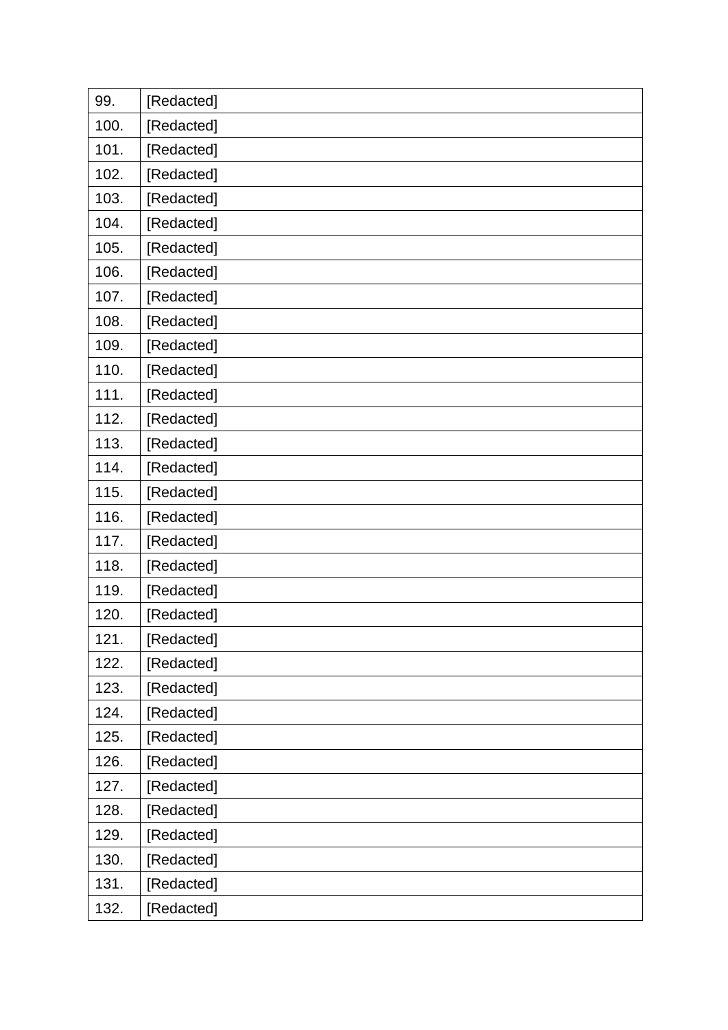| 99.  | [Redacted] |
|------|------------|
| 100. | [Redacted] |
| 101. | [Redacted] |
| 102. | [Redacted] |
| 103. | [Redacted] |
| 104. | [Redacted] |
| 105. | [Redacted] |
| 106. | [Redacted] |
| 107. | [Redacted] |
| 108. | [Redacted] |
| 109. | [Redacted] |
| 110. | [Redacted] |
| 111. | [Redacted] |
| 112. | [Redacted] |
| 113. | [Redacted] |
| 114. | [Redacted] |
| 115. | [Redacted] |
| 116. | [Redacted] |
| 117. | [Redacted] |
| 118. | [Redacted] |
| 119. | [Redacted] |
| 120. | [Redacted] |
| 121. | [Redacted] |
| 122. | [Redacted] |
| 123. | [Redacted] |
| 124. | [Redacted] |
| 125. | [Redacted] |
| 126. | [Redacted] |
| 127. | [Redacted] |
| 128. | [Redacted] |
| 129. | [Redacted] |
| 130. | [Redacted] |
| 131. | [Redacted] |
| 132. | [Redacted] |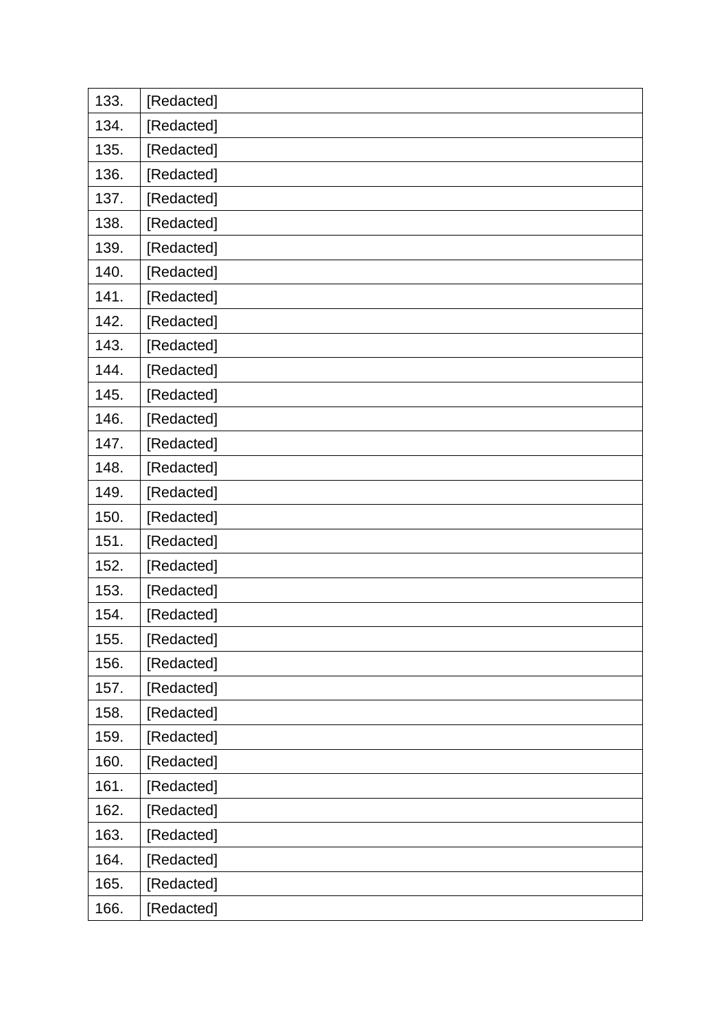| 133. | [Redacted] |
|------|------------|
| 134. | [Redacted] |
| 135. | [Redacted] |
| 136. | [Redacted] |
| 137. | [Redacted] |
| 138. | [Redacted] |
| 139. | [Redacted] |
| 140. | [Redacted] |
| 141. | [Redacted] |
| 142. | [Redacted] |
| 143. | [Redacted] |
| 144. | [Redacted] |
| 145. | [Redacted] |
| 146. | [Redacted] |
| 147. | [Redacted] |
| 148. | [Redacted] |
| 149. | [Redacted] |
| 150. | [Redacted] |
| 151. | [Redacted] |
| 152. | [Redacted] |
| 153. | [Redacted] |
| 154. | [Redacted] |
| 155. | [Redacted] |
| 156. | [Redacted] |
| 157. | [Redacted] |
| 158. | [Redacted] |
| 159. | [Redacted] |
| 160. | [Redacted] |
| 161. | [Redacted] |
| 162. | [Redacted] |
| 163. | [Redacted] |
| 164. | [Redacted] |
| 165. | [Redacted] |
| 166. | [Redacted] |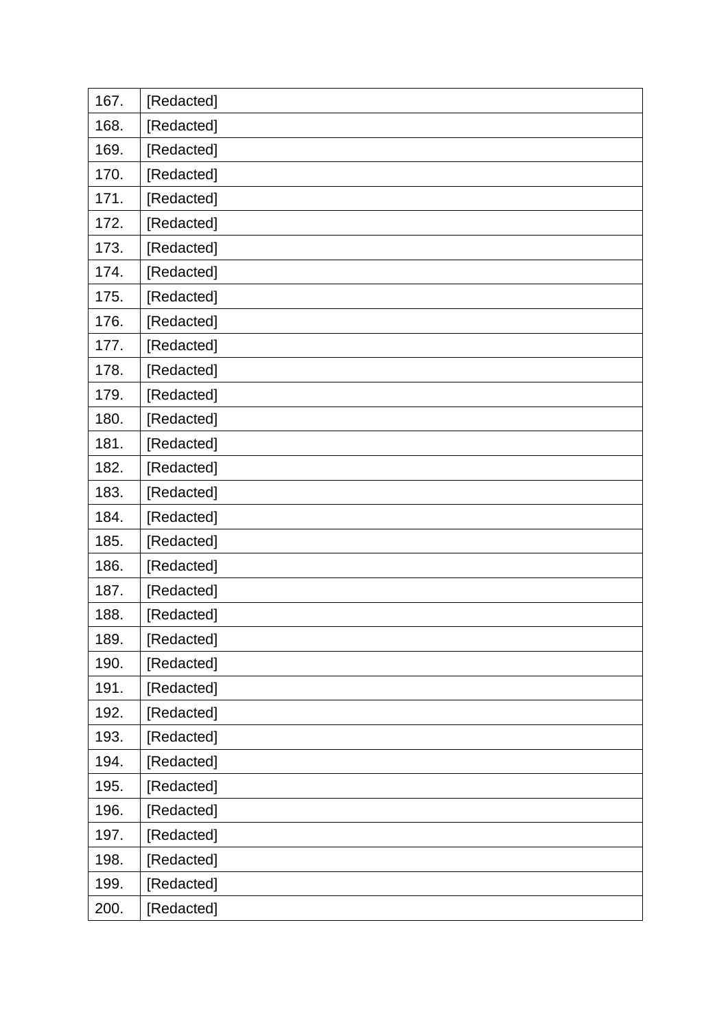| 167. | [Redacted] |
|------|------------|
| 168. | [Redacted] |
| 169. | [Redacted] |
| 170. | [Redacted] |
| 171. | [Redacted] |
| 172. | [Redacted] |
| 173. | [Redacted] |
| 174. | [Redacted] |
| 175. | [Redacted] |
| 176. | [Redacted] |
| 177. | [Redacted] |
| 178. | [Redacted] |
| 179. | [Redacted] |
| 180. | [Redacted] |
| 181. | [Redacted] |
| 182. | [Redacted] |
| 183. | [Redacted] |
| 184. | [Redacted] |
| 185. | [Redacted] |
| 186. | [Redacted] |
| 187. | [Redacted] |
| 188. | [Redacted] |
| 189. | [Redacted] |
| 190. | [Redacted] |
| 191. | [Redacted] |
| 192. | [Redacted] |
| 193. | [Redacted] |
| 194. | [Redacted] |
| 195. | [Redacted] |
| 196. | [Redacted] |
| 197. | [Redacted] |
| 198. | [Redacted] |
| 199. | [Redacted] |
| 200. | [Redacted] |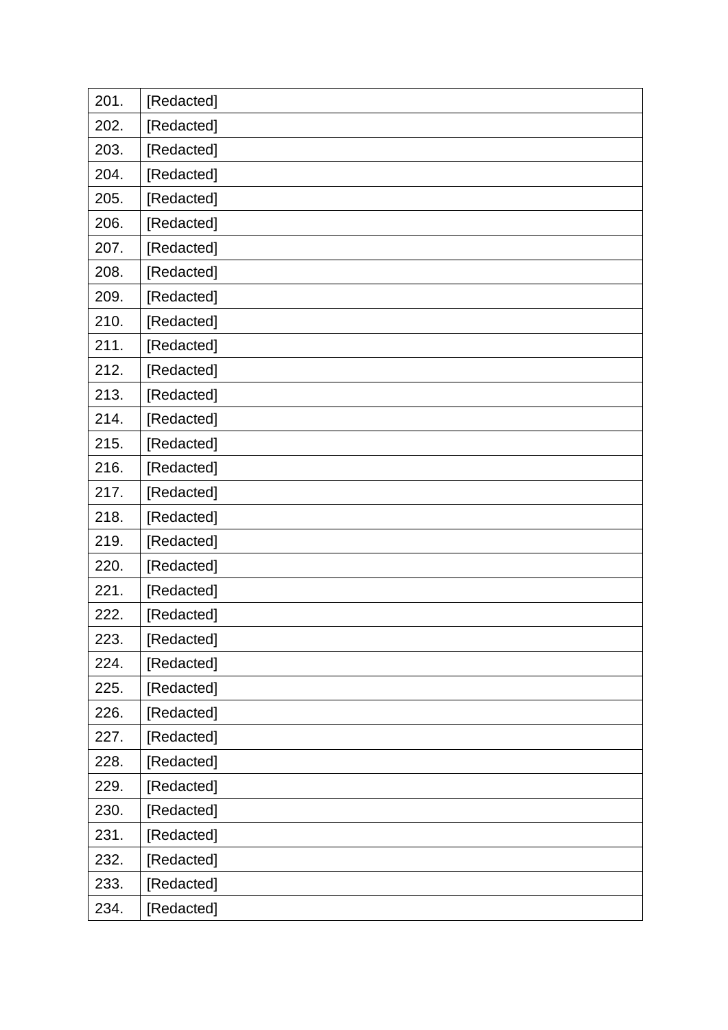| 201. | [Redacted] |
|------|------------|
| 202. | [Redacted] |
| 203. | [Redacted] |
| 204. | [Redacted] |
| 205. | [Redacted] |
| 206. | [Redacted] |
| 207. | [Redacted] |
| 208. | [Redacted] |
| 209. | [Redacted] |
| 210. | [Redacted] |
| 211. | [Redacted] |
| 212. | [Redacted] |
| 213. | [Redacted] |
| 214. | [Redacted] |
| 215. | [Redacted] |
| 216. | [Redacted] |
| 217. | [Redacted] |
| 218. | [Redacted] |
| 219. | [Redacted] |
| 220. | [Redacted] |
| 221. | [Redacted] |
| 222. | [Redacted] |
| 223. | [Redacted] |
| 224. | [Redacted] |
| 225. | [Redacted] |
| 226. | [Redacted] |
| 227. | [Redacted] |
| 228. | [Redacted] |
| 229. | [Redacted] |
| 230. | [Redacted] |
| 231. | [Redacted] |
| 232. | [Redacted] |
| 233. | [Redacted] |
| 234. | [Redacted] |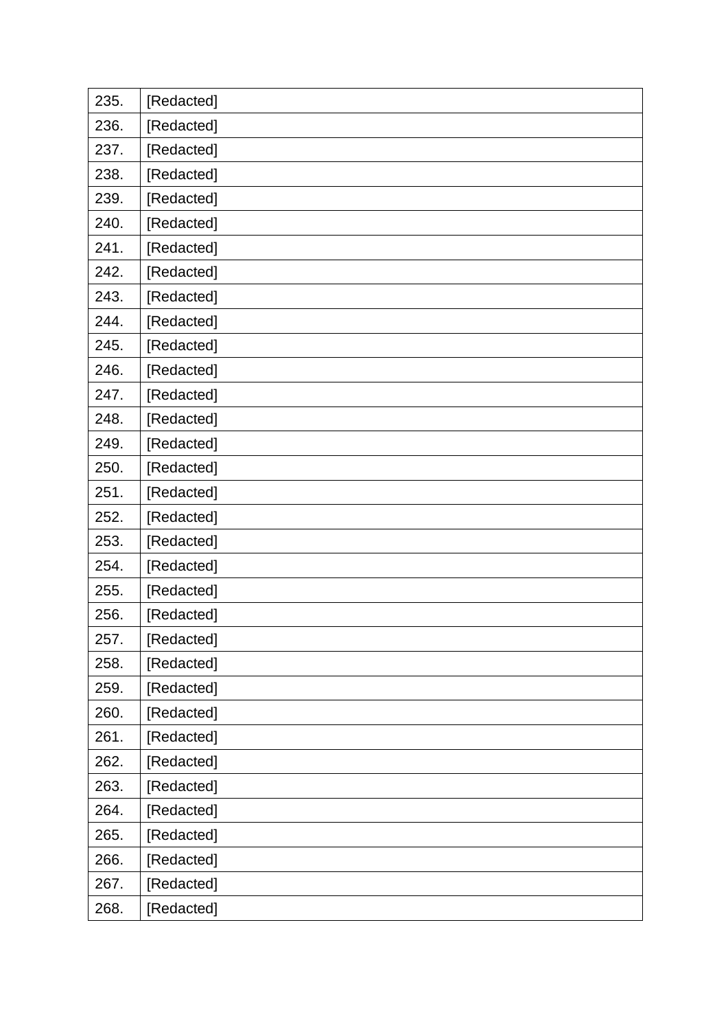| 235. | [Redacted] |
|------|------------|
| 236. | [Redacted] |
| 237. | [Redacted] |
| 238. | [Redacted] |
| 239. | [Redacted] |
| 240. | [Redacted] |
| 241. | [Redacted] |
| 242. | [Redacted] |
| 243. | [Redacted] |
| 244. | [Redacted] |
| 245. | [Redacted] |
| 246. | [Redacted] |
| 247. | [Redacted] |
| 248. | [Redacted] |
| 249. | [Redacted] |
| 250. | [Redacted] |
| 251. | [Redacted] |
| 252. | [Redacted] |
| 253. | [Redacted] |
| 254. | [Redacted] |
| 255. | [Redacted] |
| 256. | [Redacted] |
| 257. | [Redacted] |
| 258. | [Redacted] |
| 259. | [Redacted] |
| 260. | [Redacted] |
| 261. | [Redacted] |
| 262. | [Redacted] |
| 263. | [Redacted] |
| 264. | [Redacted] |
| 265. | [Redacted] |
| 266. | [Redacted] |
| 267. | [Redacted] |
| 268. | [Redacted] |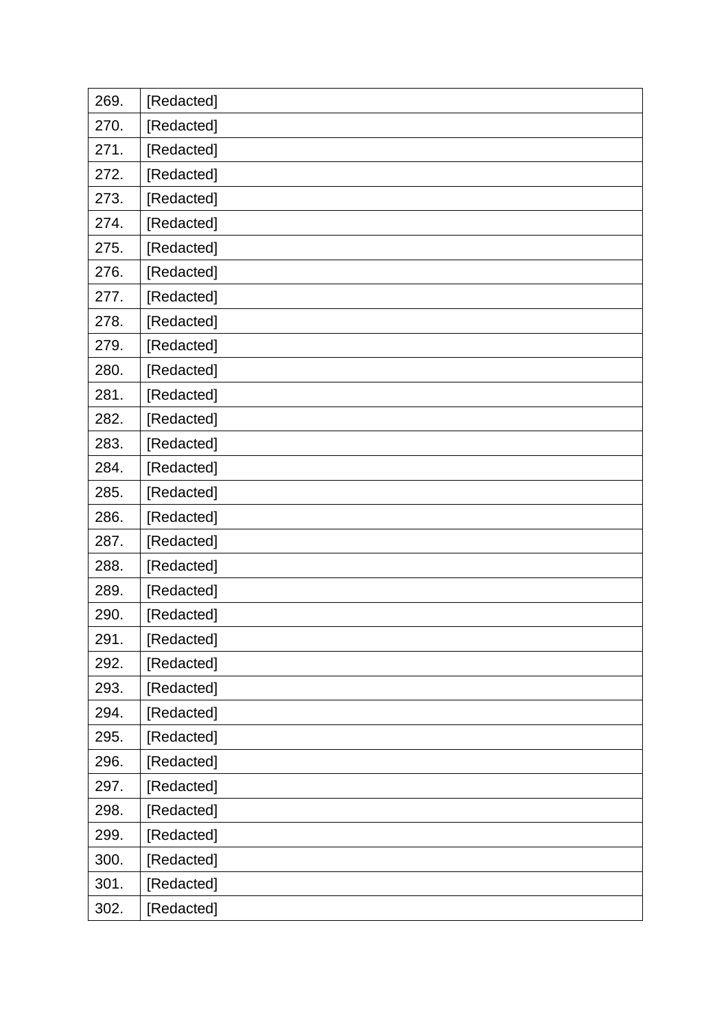| 269. | [Redacted] |
|------|------------|
| 270. | [Redacted] |
| 271. | [Redacted] |
| 272. | [Redacted] |
| 273. | [Redacted] |
| 274. | [Redacted] |
| 275. | [Redacted] |
| 276. | [Redacted] |
| 277. | [Redacted] |
| 278. | [Redacted] |
| 279. | [Redacted] |
| 280. | [Redacted] |
| 281. | [Redacted] |
| 282. | [Redacted] |
| 283. | [Redacted] |
| 284. | [Redacted] |
| 285. | [Redacted] |
|      |            |
| 286. | [Redacted] |
| 287. | [Redacted] |
| 288. | [Redacted] |
| 289. | [Redacted] |
| 290. | [Redacted] |
| 291. | [Redacted] |
| 292. | [Redacted] |
| 293. | [Redacted] |
| 294. | [Redacted] |
| 295. | [Redacted] |
| 296. | [Redacted] |
| 297. | [Redacted] |
| 298. | [Redacted] |
| 299. | [Redacted] |
| 300. | [Redacted] |
| 301. | [Redacted] |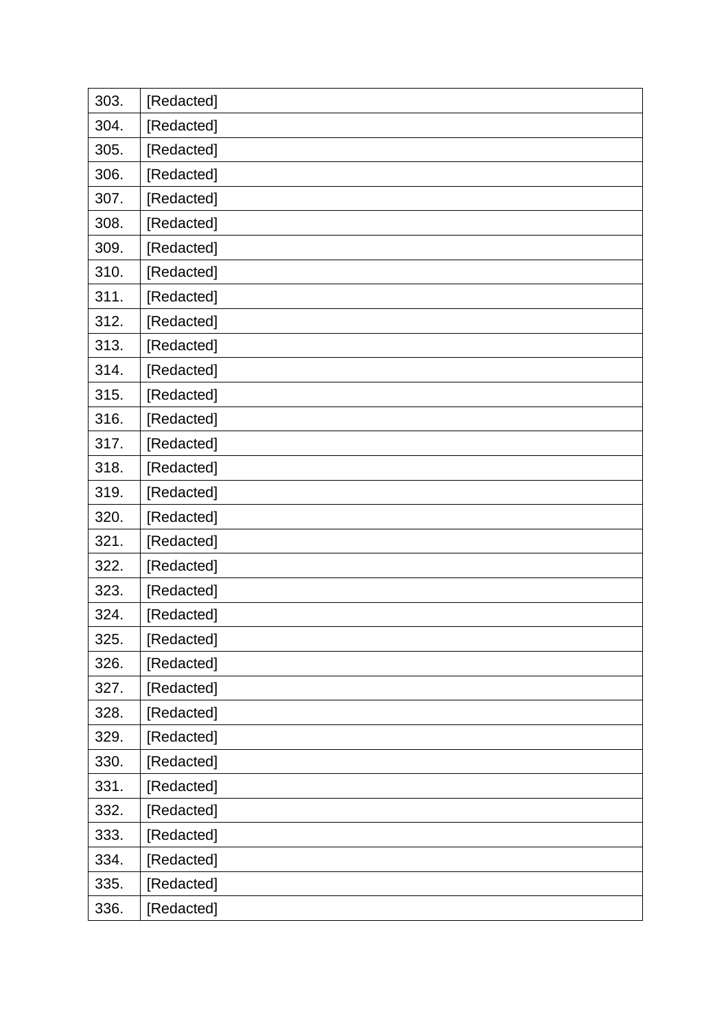| 303. | [Redacted] |
|------|------------|
| 304. | [Redacted] |
| 305. | [Redacted] |
| 306. | [Redacted] |
| 307. | [Redacted] |
| 308. | [Redacted] |
| 309. | [Redacted] |
| 310. | [Redacted] |
| 311. | [Redacted] |
| 312. | [Redacted] |
| 313. | [Redacted] |
| 314. | [Redacted] |
| 315. | [Redacted] |
| 316. | [Redacted] |
| 317. | [Redacted] |
| 318. | [Redacted] |
| 319. | [Redacted] |
| 320. | [Redacted] |
|      |            |
| 321. | [Redacted] |
| 322. | [Redacted] |
| 323. | [Redacted] |
| 324. | [Redacted] |
| 325. | [Redacted] |
| 326. | [Redacted] |
| 327. | [Redacted] |
| 328. | [Redacted] |
| 329. | [Redacted] |
| 330. | [Redacted] |
| 331. | [Redacted] |
| 332. | [Redacted] |
| 333. | [Redacted] |
| 334. | [Redacted] |
| 335. | [Redacted] |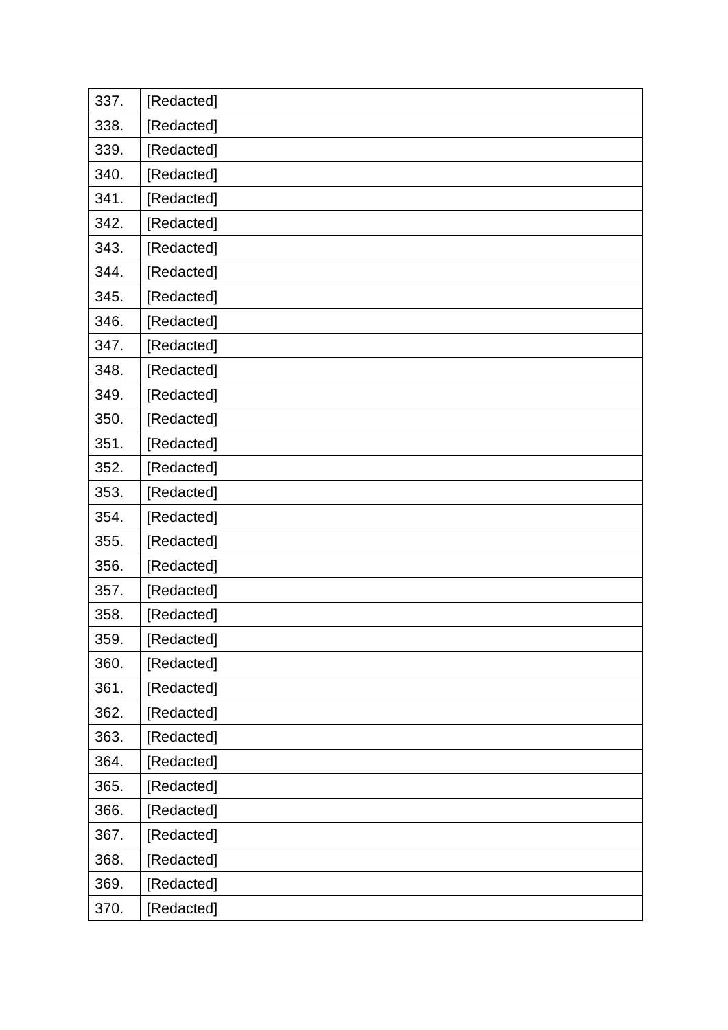| 337. | [Redacted] |
|------|------------|
| 338. | [Redacted] |
| 339. | [Redacted] |
| 340. | [Redacted] |
| 341. | [Redacted] |
| 342. | [Redacted] |
| 343. | [Redacted] |
| 344. | [Redacted] |
| 345. | [Redacted] |
| 346. | [Redacted] |
| 347. | [Redacted] |
| 348. | [Redacted] |
| 349. | [Redacted] |
| 350. | [Redacted] |
| 351. | [Redacted] |
| 352. | [Redacted] |
| 353. | [Redacted] |
|      |            |
| 354. | [Redacted] |
| 355. | [Redacted] |
| 356. | [Redacted] |
| 357. | [Redacted] |
| 358. | [Redacted] |
| 359. | [Redacted] |
| 360. | [Redacted] |
| 361. | [Redacted] |
| 362. | [Redacted] |
| 363. | [Redacted] |
| 364. | [Redacted] |
| 365. | [Redacted] |
| 366. | [Redacted] |
| 367. | [Redacted] |
| 368. | [Redacted] |
| 369. | [Redacted] |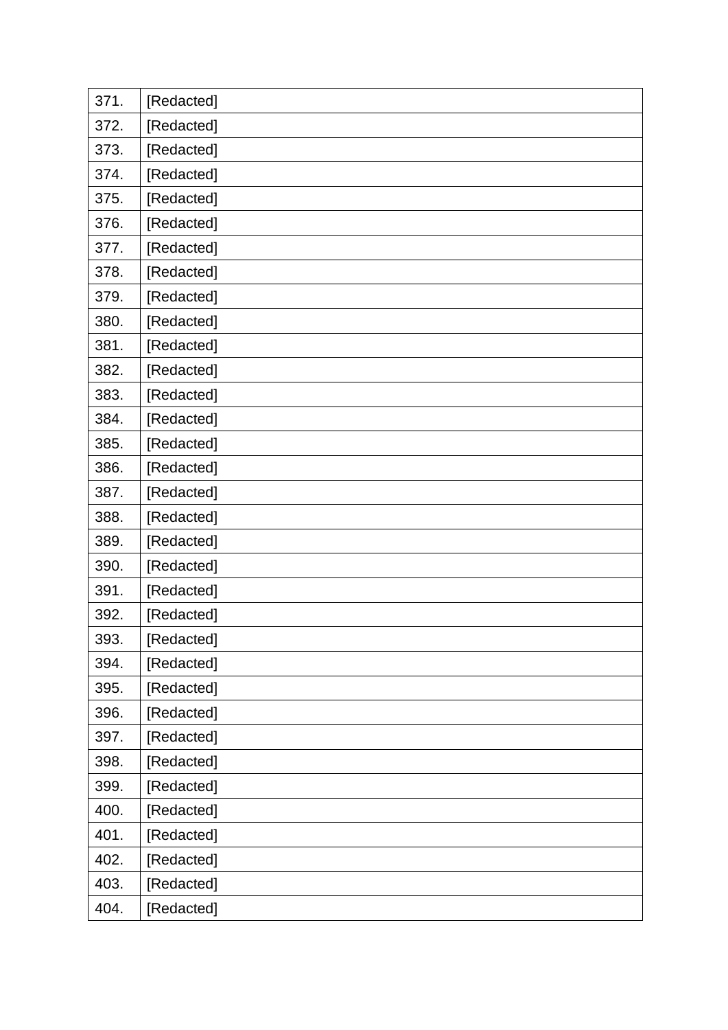| 371. | [Redacted] |
|------|------------|
| 372. | [Redacted] |
| 373. | [Redacted] |
| 374. | [Redacted] |
| 375. | [Redacted] |
| 376. | [Redacted] |
| 377. | [Redacted] |
| 378. | [Redacted] |
| 379. | [Redacted] |
| 380. | [Redacted] |
| 381. | [Redacted] |
| 382. | [Redacted] |
| 383. | [Redacted] |
| 384. | [Redacted] |
| 385. | [Redacted] |
| 386. | [Redacted] |
| 387. | [Redacted] |
| 388. | [Redacted] |
|      |            |
| 389. | [Redacted] |
| 390. | [Redacted] |
| 391. | [Redacted] |
| 392. | [Redacted] |
| 393. | [Redacted] |
| 394. | [Redacted] |
| 395. | [Redacted] |
| 396. | [Redacted] |
| 397. | [Redacted] |
| 398. | [Redacted] |
| 399. | [Redacted] |
| 400. | [Redacted] |
| 401. | [Redacted] |
| 402. | [Redacted] |
| 403. | [Redacted] |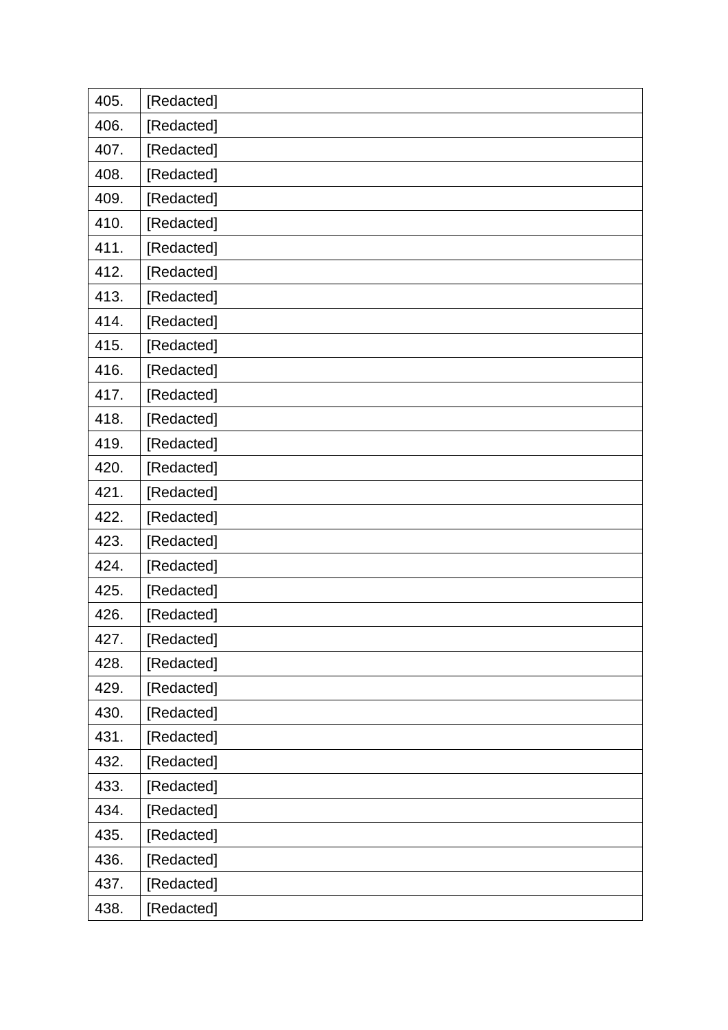| 405. | [Redacted] |
|------|------------|
| 406. | [Redacted] |
| 407. | [Redacted] |
| 408. | [Redacted] |
| 409. | [Redacted] |
| 410. | [Redacted] |
| 411. | [Redacted] |
| 412. | [Redacted] |
| 413. | [Redacted] |
| 414. | [Redacted] |
| 415. | [Redacted] |
| 416. | [Redacted] |
| 417. | [Redacted] |
| 418. | [Redacted] |
| 419. | [Redacted] |
| 420. | [Redacted] |
| 421. | [Redacted] |
| 422. | [Redacted] |
| 423. | [Redacted] |
| 424. | [Redacted] |
| 425. | [Redacted] |
| 426. | [Redacted] |
| 427. | [Redacted] |
| 428. | [Redacted] |
| 429. | [Redacted] |
| 430. | [Redacted] |
| 431. | [Redacted] |
| 432. | [Redacted] |
| 433. | [Redacted] |
| 434. | [Redacted] |
| 435. | [Redacted] |
| 436. | [Redacted] |
| 437. | [Redacted] |
| 438. | [Redacted] |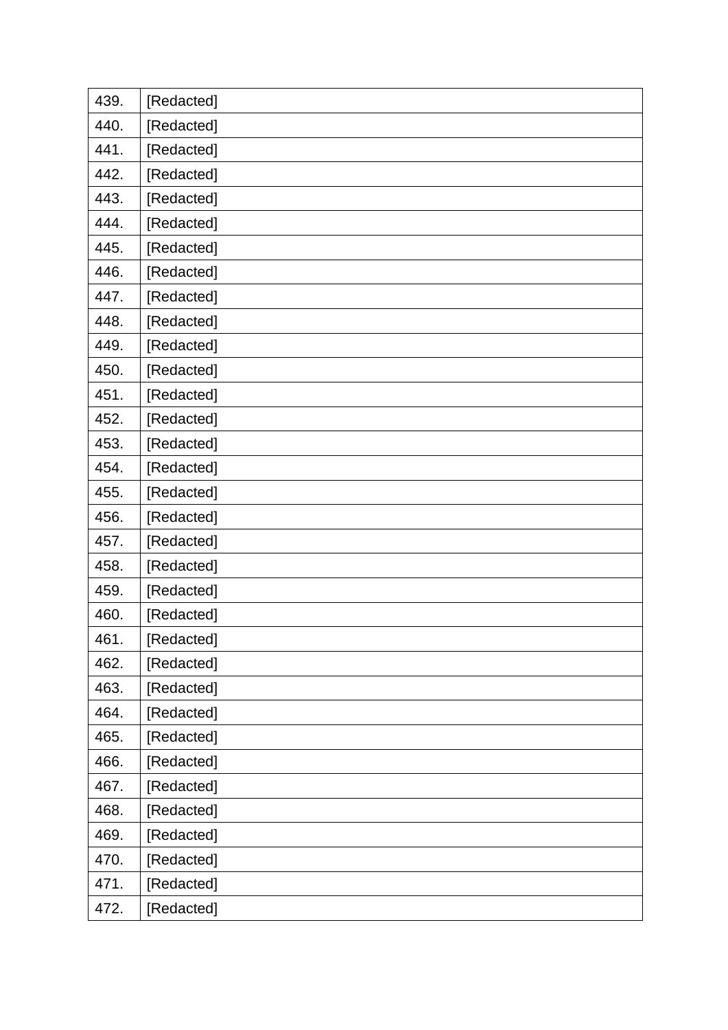| 439. | [Redacted] |
|------|------------|
| 440. | [Redacted] |
| 441. | [Redacted] |
| 442. | [Redacted] |
| 443. | [Redacted] |
| 444. | [Redacted] |
| 445. | [Redacted] |
| 446. | [Redacted] |
| 447. | [Redacted] |
| 448. | [Redacted] |
| 449. | [Redacted] |
| 450. | [Redacted] |
| 451. | [Redacted] |
| 452. | [Redacted] |
| 453. | [Redacted] |
| 454. | [Redacted] |
| 455. | [Redacted] |
|      |            |
| 456. | [Redacted] |
| 457. | [Redacted] |
| 458. | [Redacted] |
| 459. | [Redacted] |
| 460. | [Redacted] |
| 461. | [Redacted] |
| 462. | [Redacted] |
| 463. | [Redacted] |
| 464. | [Redacted] |
| 465. | [Redacted] |
| 466. | [Redacted] |
| 467. | [Redacted] |
| 468. | [Redacted] |
| 469. | [Redacted] |
| 470. | [Redacted] |
| 471. | [Redacted] |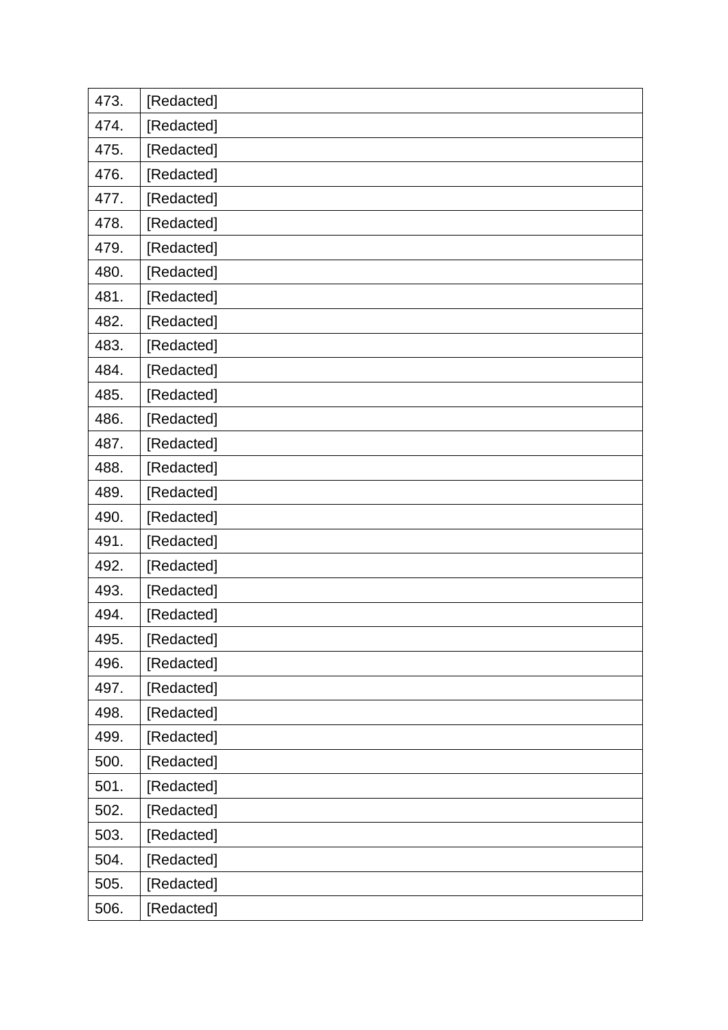| 473. | [Redacted] |
|------|------------|
| 474. | [Redacted] |
| 475. | [Redacted] |
| 476. | [Redacted] |
| 477. | [Redacted] |
| 478. | [Redacted] |
| 479. | [Redacted] |
| 480. | [Redacted] |
| 481. | [Redacted] |
| 482. | [Redacted] |
| 483. | [Redacted] |
| 484. | [Redacted] |
| 485. | [Redacted] |
| 486. | [Redacted] |
| 487. | [Redacted] |
| 488. | [Redacted] |
| 489. | [Redacted] |
| 490. | [Redacted] |
| 491. | [Redacted] |
| 492. | [Redacted] |
| 493. | [Redacted] |
| 494. | [Redacted] |
| 495. | [Redacted] |
| 496. | [Redacted] |
| 497. | [Redacted] |
| 498. | [Redacted] |
| 499. | [Redacted] |
| 500. | [Redacted] |
| 501. | [Redacted] |
| 502. | [Redacted] |
| 503. | [Redacted] |
| 504. | [Redacted] |
| 505. | [Redacted] |
| 506. | [Redacted] |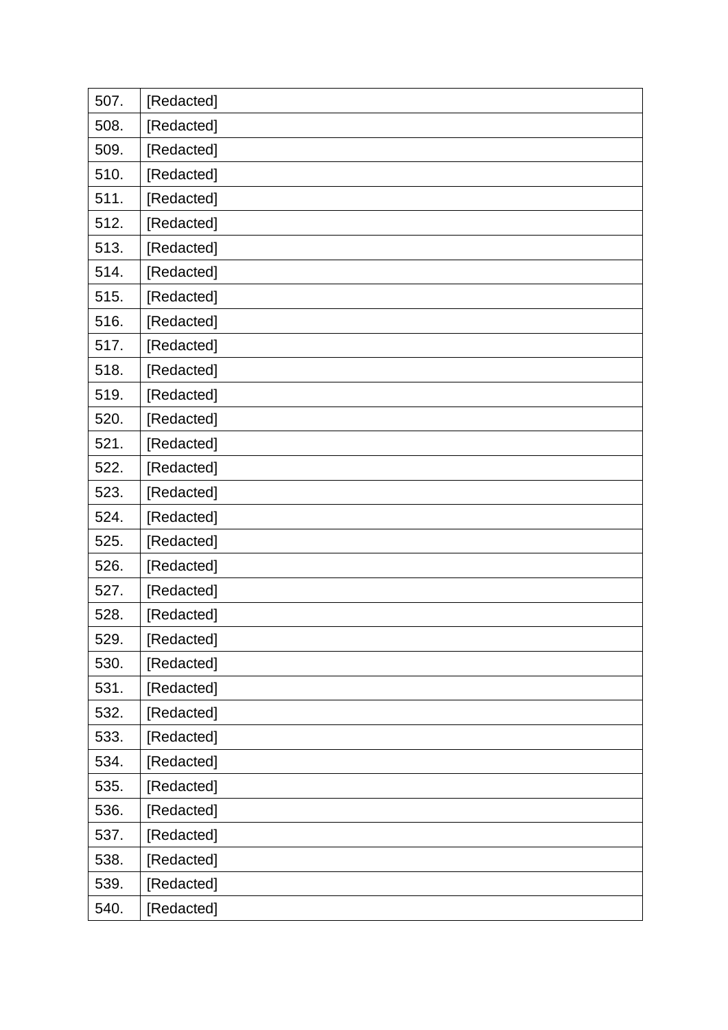| 507. | [Redacted] |
|------|------------|
| 508. | [Redacted] |
| 509. | [Redacted] |
| 510. | [Redacted] |
| 511. | [Redacted] |
| 512. | [Redacted] |
| 513. | [Redacted] |
| 514. | [Redacted] |
| 515. | [Redacted] |
| 516. | [Redacted] |
| 517. | [Redacted] |
| 518. | [Redacted] |
| 519. | [Redacted] |
| 520. | [Redacted] |
| 521. | [Redacted] |
| 522. | [Redacted] |
| 523. | [Redacted] |
|      |            |
| 524. | [Redacted] |
| 525. | [Redacted] |
| 526. | [Redacted] |
| 527. | [Redacted] |
| 528. | [Redacted] |
| 529. | [Redacted] |
| 530. | [Redacted] |
| 531. | [Redacted] |
| 532. | [Redacted] |
| 533. | [Redacted] |
| 534. | [Redacted] |
| 535. | [Redacted] |
| 536. | [Redacted] |
| 537. | [Redacted] |
| 538. | [Redacted] |
| 539. | [Redacted] |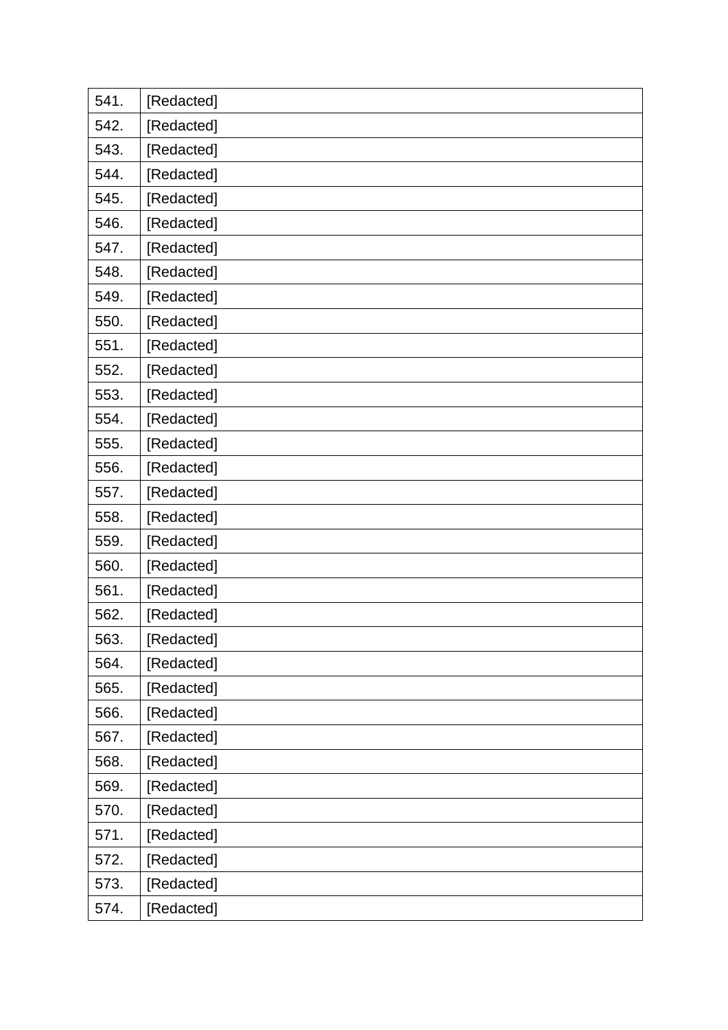| 541. | [Redacted] |
|------|------------|
| 542. | [Redacted] |
| 543. | [Redacted] |
| 544. | [Redacted] |
| 545. | [Redacted] |
| 546. | [Redacted] |
| 547. | [Redacted] |
| 548. | [Redacted] |
| 549. | [Redacted] |
| 550. | [Redacted] |
| 551. | [Redacted] |
| 552. | [Redacted] |
| 553. | [Redacted] |
| 554. | [Redacted] |
| 555. | [Redacted] |
| 556. | [Redacted] |
| 557. | [Redacted] |
| 558. | [Redacted] |
| 559. | [Redacted] |
| 560. | [Redacted] |
| 561. | [Redacted] |
| 562. | [Redacted] |
| 563. | [Redacted] |
| 564. | [Redacted] |
| 565. | [Redacted] |
| 566. | [Redacted] |
| 567. | [Redacted] |
| 568. | [Redacted] |
| 569. | [Redacted] |
| 570. | [Redacted] |
| 571. | [Redacted] |
| 572. | [Redacted] |
| 573. | [Redacted] |
| 574. | [Redacted] |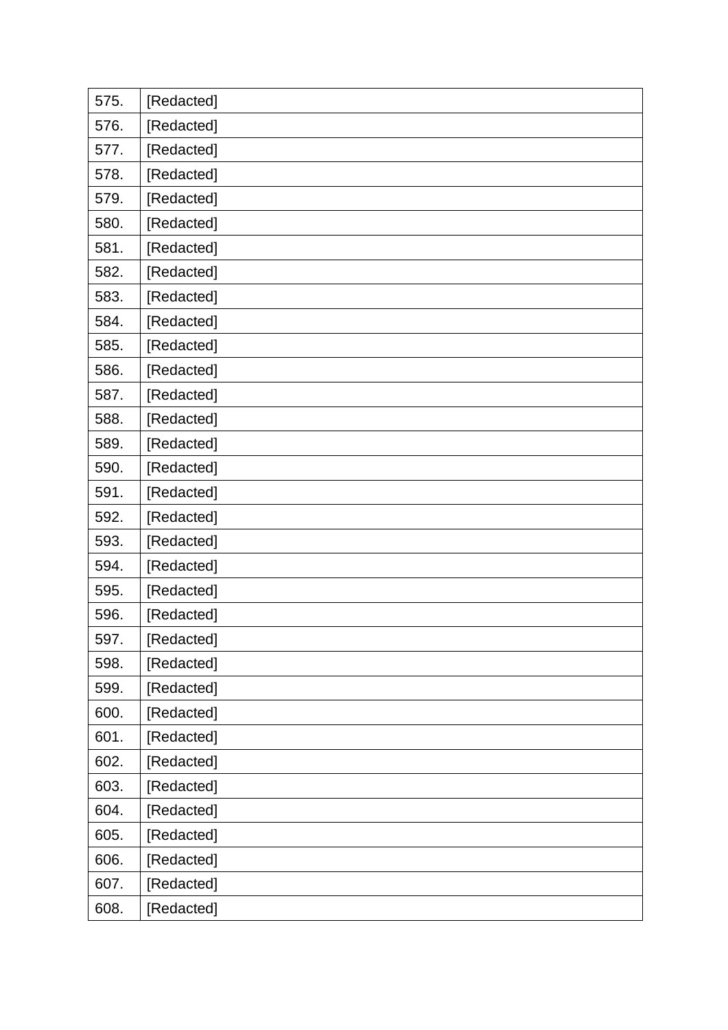| 575. | [Redacted] |
|------|------------|
| 576. | [Redacted] |
| 577. | [Redacted] |
| 578. | [Redacted] |
| 579. | [Redacted] |
| 580. | [Redacted] |
| 581. | [Redacted] |
| 582. | [Redacted] |
| 583. | [Redacted] |
| 584. | [Redacted] |
| 585. | [Redacted] |
| 586. | [Redacted] |
| 587. | [Redacted] |
| 588. | [Redacted] |
| 589. | [Redacted] |
| 590. | [Redacted] |
| 591. | [Redacted] |
| 592. | [Redacted] |
| 593. | [Redacted] |
| 594. | [Redacted] |
| 595. | [Redacted] |
| 596. | [Redacted] |
| 597. | [Redacted] |
| 598. | [Redacted] |
| 599. | [Redacted] |
| 600. | [Redacted] |
| 601. | [Redacted] |
| 602. | [Redacted] |
| 603. | [Redacted] |
| 604. | [Redacted] |
| 605. | [Redacted] |
| 606. | [Redacted] |
| 607. | [Redacted] |
| 608. | [Redacted] |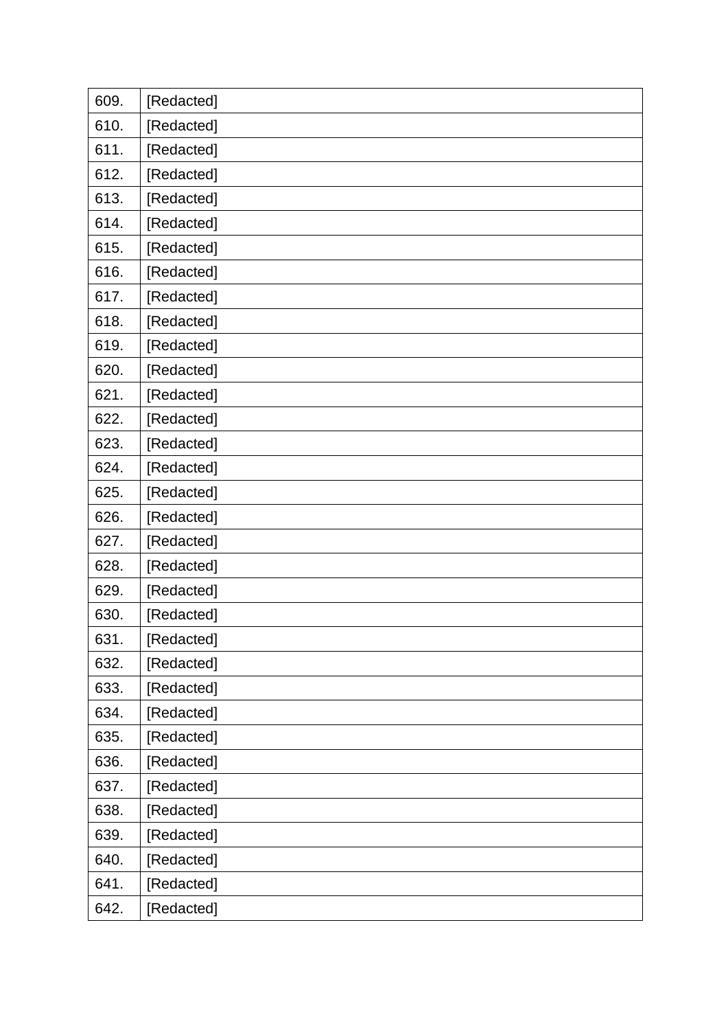| 609. | [Redacted] |
|------|------------|
| 610. | [Redacted] |
| 611. | [Redacted] |
| 612. | [Redacted] |
| 613. | [Redacted] |
| 614. | [Redacted] |
| 615. | [Redacted] |
| 616. | [Redacted] |
| 617. | [Redacted] |
| 618. | [Redacted] |
| 619. | [Redacted] |
| 620. | [Redacted] |
| 621. | [Redacted] |
| 622. | [Redacted] |
| 623. | [Redacted] |
| 624. | [Redacted] |
| 625. | [Redacted] |
|      |            |
| 626. | [Redacted] |
| 627. | [Redacted] |
| 628. | [Redacted] |
| 629. | [Redacted] |
| 630. | [Redacted] |
| 631. | [Redacted] |
| 632. | [Redacted] |
| 633. | [Redacted] |
| 634. | [Redacted] |
| 635. | [Redacted] |
| 636. | [Redacted] |
| 637. | [Redacted] |
| 638. | [Redacted] |
| 639. | [Redacted] |
| 640. | [Redacted] |
| 641. | [Redacted] |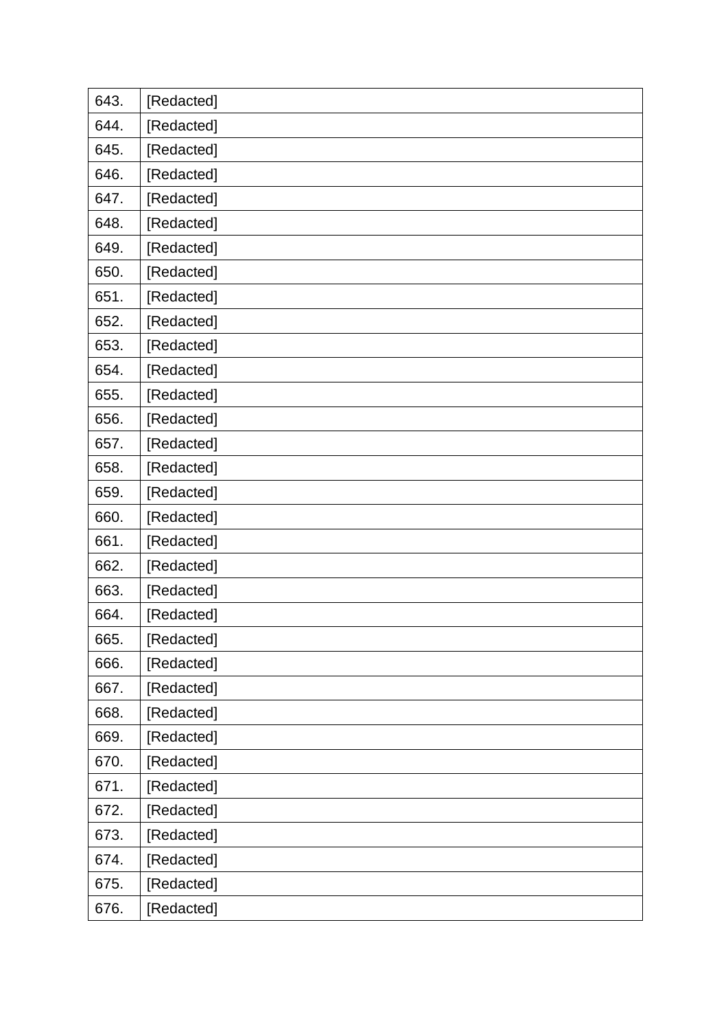| 643. | [Redacted] |
|------|------------|
| 644. | [Redacted] |
| 645. | [Redacted] |
| 646. | [Redacted] |
| 647. | [Redacted] |
| 648. | [Redacted] |
| 649. | [Redacted] |
| 650. | [Redacted] |
| 651. | [Redacted] |
| 652. | [Redacted] |
| 653. | [Redacted] |
| 654. | [Redacted] |
| 655. | [Redacted] |
| 656. | [Redacted] |
| 657. | [Redacted] |
| 658. | [Redacted] |
| 659. | [Redacted] |
| 660. | [Redacted] |
| 661. | [Redacted] |
| 662. | [Redacted] |
| 663. | [Redacted] |
| 664. | [Redacted] |
| 665. | [Redacted] |
| 666. | [Redacted] |
| 667. | [Redacted] |
| 668. | [Redacted] |
| 669. | [Redacted] |
| 670. | [Redacted] |
| 671. | [Redacted] |
| 672. | [Redacted] |
| 673. | [Redacted] |
| 674. | [Redacted] |
| 675. | [Redacted] |
| 676. | [Redacted] |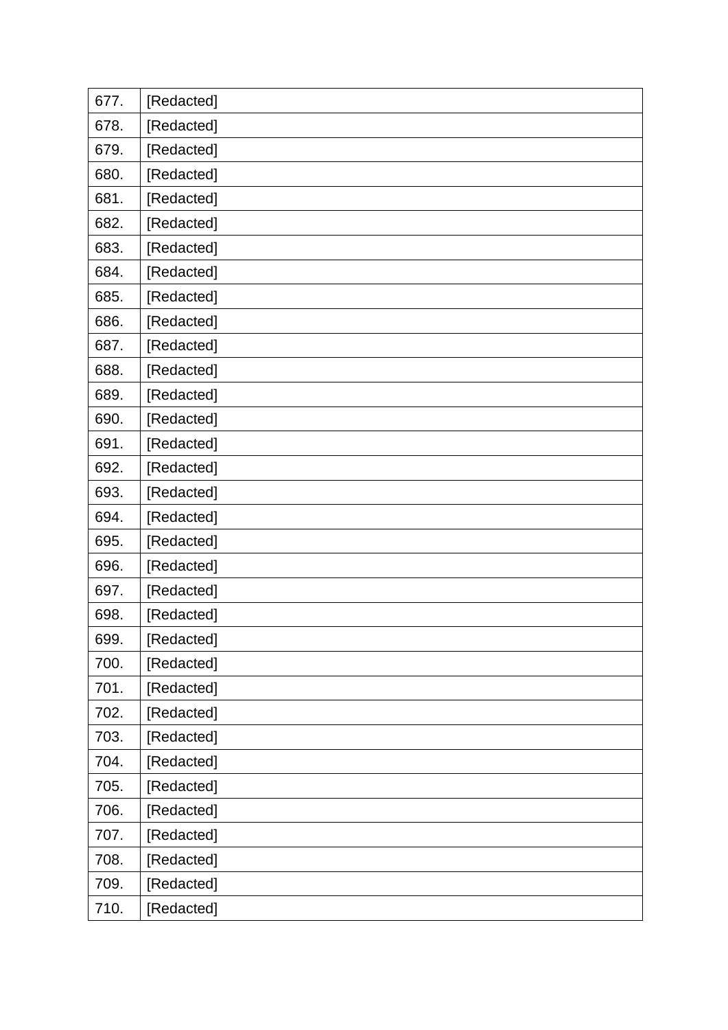| 677. | [Redacted] |
|------|------------|
| 678. | [Redacted] |
| 679. | [Redacted] |
| 680. | [Redacted] |
| 681. | [Redacted] |
| 682. | [Redacted] |
| 683. | [Redacted] |
| 684. | [Redacted] |
| 685. | [Redacted] |
| 686. | [Redacted] |
| 687. | [Redacted] |
| 688. | [Redacted] |
| 689. | [Redacted] |
| 690. | [Redacted] |
| 691. | [Redacted] |
| 692. | [Redacted] |
| 693. | [Redacted] |
| 694. | [Redacted] |
| 695. | [Redacted] |
| 696. | [Redacted] |
| 697. | [Redacted] |
| 698. | [Redacted] |
| 699. | [Redacted] |
| 700. | [Redacted] |
| 701. | [Redacted] |
| 702. | [Redacted] |
| 703. | [Redacted] |
| 704. | [Redacted] |
| 705. | [Redacted] |
| 706. | [Redacted] |
| 707. | [Redacted] |
| 708. | [Redacted] |
| 709. | [Redacted] |
| 710. | [Redacted] |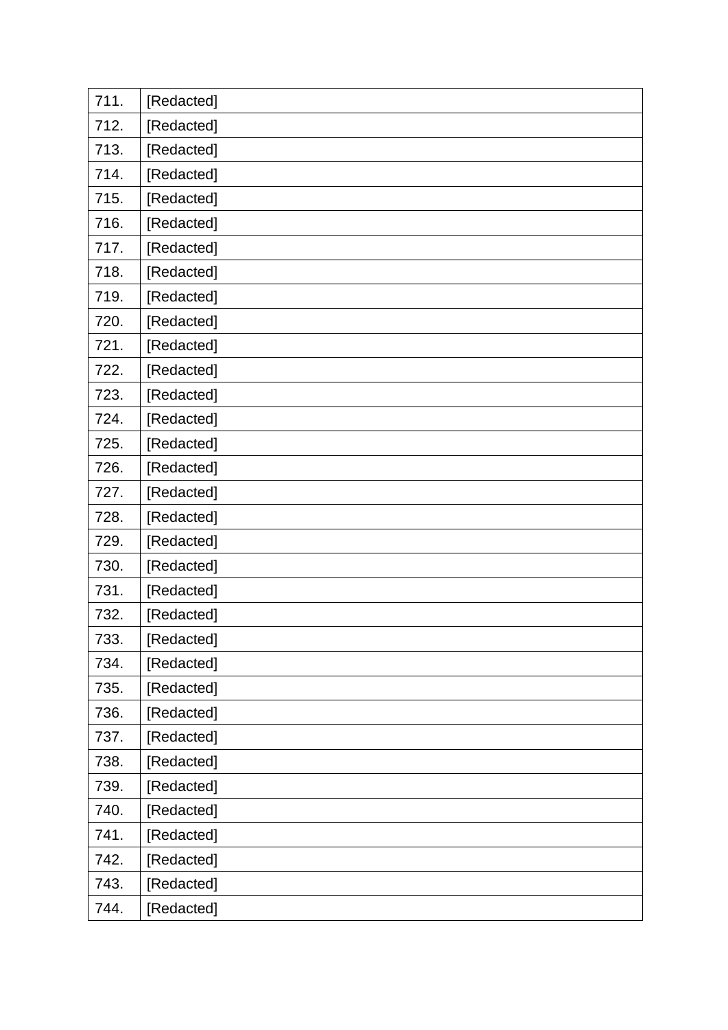| 711. | [Redacted] |
|------|------------|
| 712. | [Redacted] |
| 713. | [Redacted] |
| 714. | [Redacted] |
| 715. | [Redacted] |
| 716. | [Redacted] |
| 717. | [Redacted] |
| 718. | [Redacted] |
| 719. | [Redacted] |
| 720. | [Redacted] |
| 721. | [Redacted] |
| 722. | [Redacted] |
| 723. | [Redacted] |
| 724. | [Redacted] |
| 725. | [Redacted] |
| 726. | [Redacted] |
| 727. | [Redacted] |
| 728. | [Redacted] |
| 729. | [Redacted] |
| 730. | [Redacted] |
| 731. | [Redacted] |
| 732. | [Redacted] |
| 733. | [Redacted] |
| 734. | [Redacted] |
| 735. | [Redacted] |
| 736. | [Redacted] |
| 737. | [Redacted] |
| 738. | [Redacted] |
| 739. | [Redacted] |
| 740. | [Redacted] |
| 741. | [Redacted] |
| 742. | [Redacted] |
| 743. | [Redacted] |
| 744. | [Redacted] |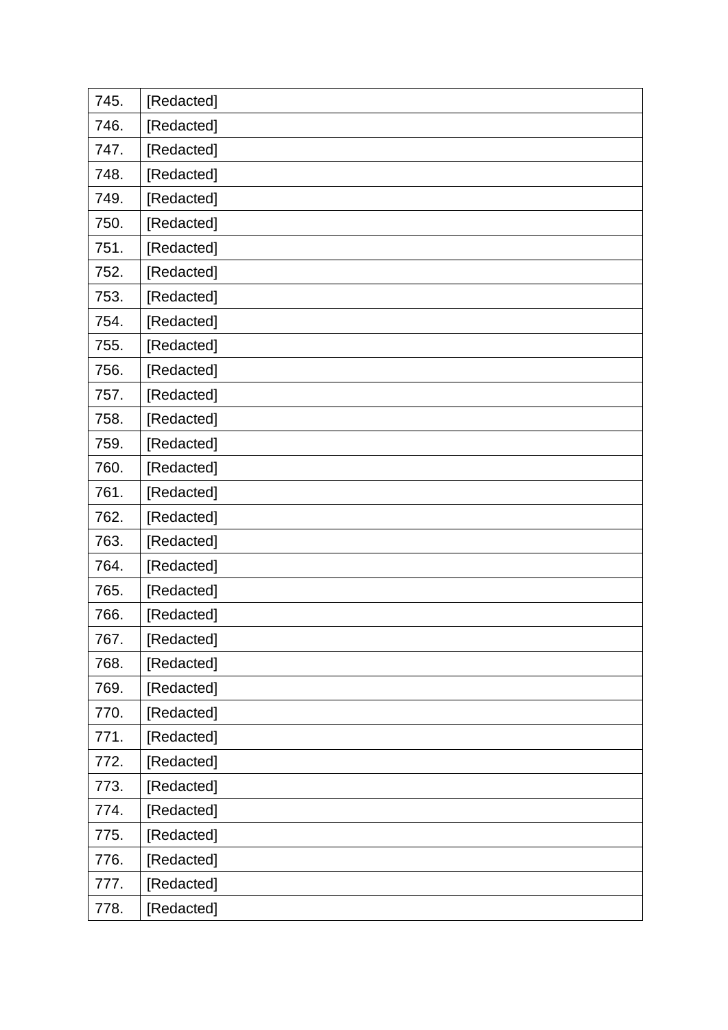| 745. | [Redacted] |
|------|------------|
| 746. | [Redacted] |
| 747. | [Redacted] |
| 748. | [Redacted] |
| 749. | [Redacted] |
| 750. | [Redacted] |
| 751. | [Redacted] |
| 752. | [Redacted] |
| 753. | [Redacted] |
| 754. | [Redacted] |
| 755. | [Redacted] |
| 756. | [Redacted] |
| 757. | [Redacted] |
| 758. | [Redacted] |
| 759. | [Redacted] |
| 760. | [Redacted] |
| 761. | [Redacted] |
| 762. | [Redacted] |
|      |            |
| 763. | [Redacted] |
| 764. | [Redacted] |
| 765. | [Redacted] |
| 766. | [Redacted] |
| 767. | [Redacted] |
| 768. | [Redacted] |
| 769. | [Redacted] |
| 770. | [Redacted] |
| 771. | [Redacted] |
| 772. | [Redacted] |
| 773. | [Redacted] |
| 774. | [Redacted] |
| 775. | [Redacted] |
| 776. | [Redacted] |
| 777. | [Redacted] |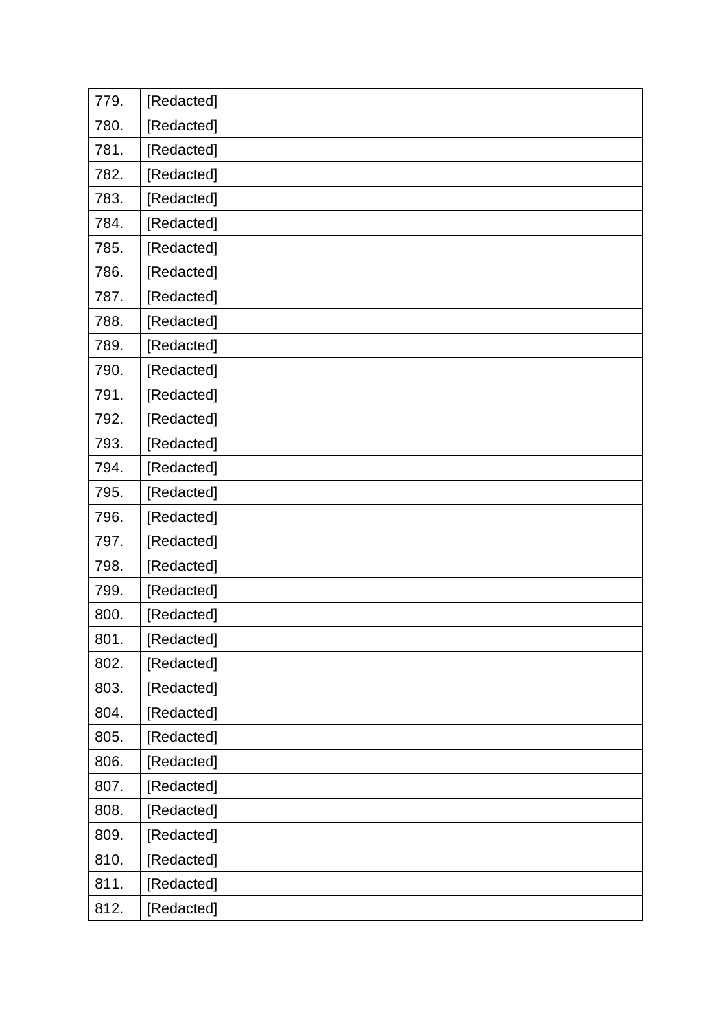| 779. | [Redacted] |
|------|------------|
| 780. | [Redacted] |
| 781. | [Redacted] |
| 782. | [Redacted] |
| 783. | [Redacted] |
| 784. | [Redacted] |
| 785. | [Redacted] |
| 786. | [Redacted] |
| 787. | [Redacted] |
| 788. | [Redacted] |
| 789. | [Redacted] |
| 790. | [Redacted] |
| 791. | [Redacted] |
| 792. | [Redacted] |
| 793. | [Redacted] |
| 794. | [Redacted] |
| 795. | [Redacted] |
| 796. | [Redacted] |
| 797. | [Redacted] |
| 798. | [Redacted] |
| 799. | [Redacted] |
| 800. | [Redacted] |
| 801. | [Redacted] |
| 802. | [Redacted] |
| 803. | [Redacted] |
| 804. | [Redacted] |
| 805. | [Redacted] |
| 806. | [Redacted] |
| 807. | [Redacted] |
| 808. | [Redacted] |
| 809. | [Redacted] |
| 810. | [Redacted] |
| 811. | [Redacted] |
| 812. | [Redacted] |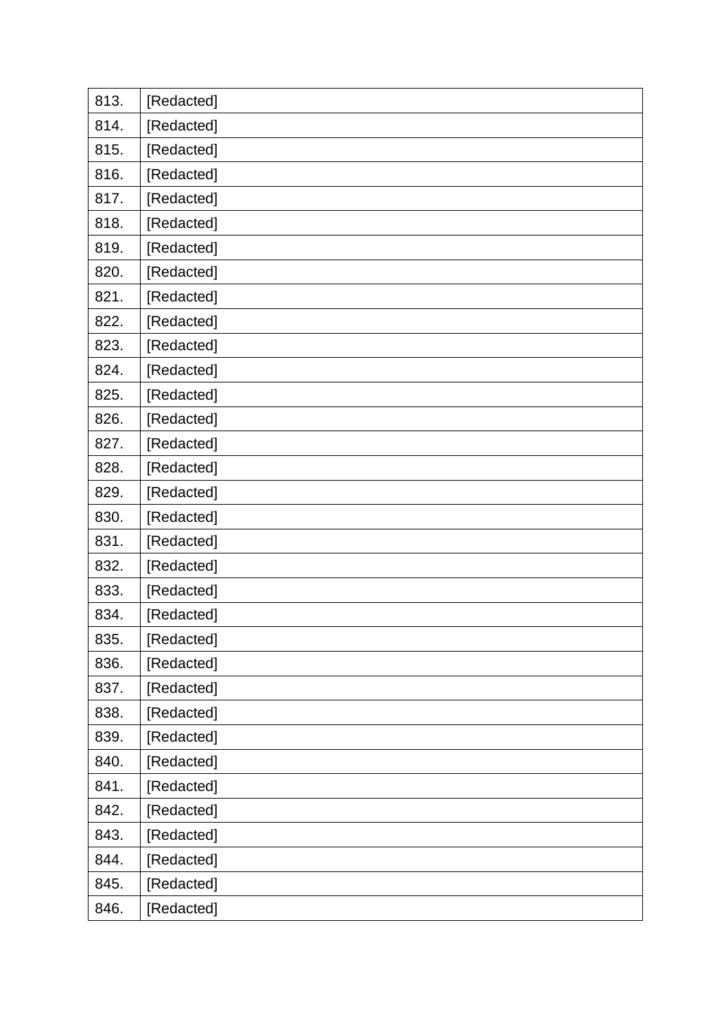| 813. | [Redacted] |
|------|------------|
| 814. | [Redacted] |
| 815. | [Redacted] |
| 816. | [Redacted] |
| 817. | [Redacted] |
| 818. | [Redacted] |
| 819. | [Redacted] |
| 820. | [Redacted] |
| 821. | [Redacted] |
| 822. | [Redacted] |
| 823. | [Redacted] |
| 824. | [Redacted] |
| 825. | [Redacted] |
| 826. | [Redacted] |
| 827. | [Redacted] |
| 828. | [Redacted] |
| 829. | [Redacted] |
|      |            |
| 830. | [Redacted] |
| 831. | [Redacted] |
| 832. | [Redacted] |
| 833. | [Redacted] |
| 834. | [Redacted] |
| 835. | [Redacted] |
| 836. | [Redacted] |
| 837. | [Redacted] |
| 838. | [Redacted] |
| 839. | [Redacted] |
| 840. | [Redacted] |
| 841. | [Redacted] |
| 842. | [Redacted] |
| 843. | [Redacted] |
| 844. | [Redacted] |
| 845. | [Redacted] |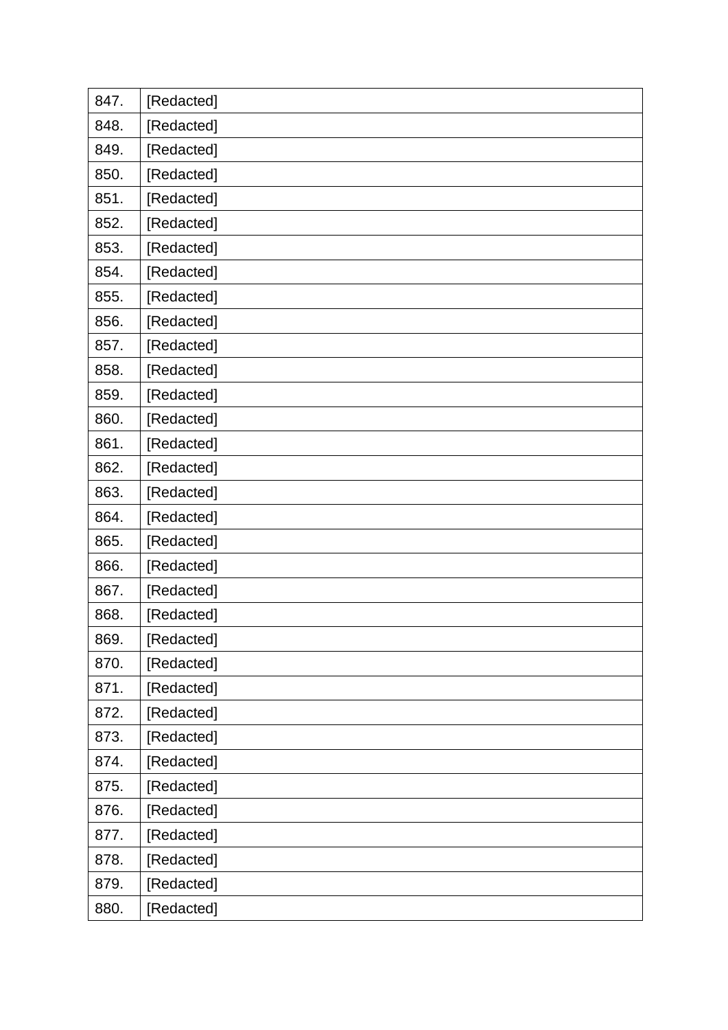| 847. | [Redacted] |
|------|------------|
| 848. | [Redacted] |
| 849. | [Redacted] |
| 850. | [Redacted] |
| 851. | [Redacted] |
| 852. | [Redacted] |
| 853. | [Redacted] |
| 854. | [Redacted] |
| 855. | [Redacted] |
| 856. | [Redacted] |
| 857. | [Redacted] |
| 858. | [Redacted] |
| 859. | [Redacted] |
| 860. | [Redacted] |
| 861. | [Redacted] |
| 862. | [Redacted] |
| 863. | [Redacted] |
| 864. | [Redacted] |
| 865. | [Redacted] |
| 866. | [Redacted] |
| 867. | [Redacted] |
| 868. | [Redacted] |
| 869. | [Redacted] |
| 870. | [Redacted] |
| 871. | [Redacted] |
| 872. | [Redacted] |
| 873. | [Redacted] |
| 874. | [Redacted] |
| 875. | [Redacted] |
| 876. | [Redacted] |
| 877. | [Redacted] |
| 878. | [Redacted] |
| 879. | [Redacted] |
| 880. | [Redacted] |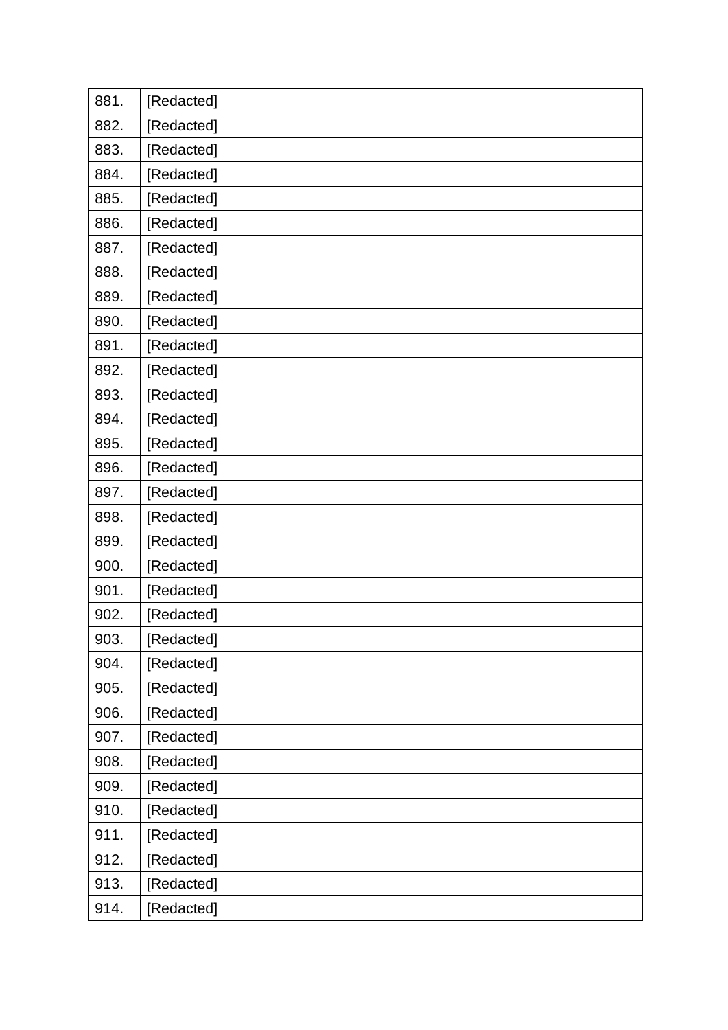| 881. | [Redacted] |
|------|------------|
| 882. | [Redacted] |
| 883. | [Redacted] |
| 884. | [Redacted] |
| 885. | [Redacted] |
| 886. | [Redacted] |
| 887. | [Redacted] |
| 888. | [Redacted] |
| 889. | [Redacted] |
| 890. | [Redacted] |
| 891. | [Redacted] |
| 892. | [Redacted] |
| 893. | [Redacted] |
| 894. | [Redacted] |
| 895. | [Redacted] |
| 896. | [Redacted] |
| 897. | [Redacted] |
| 898. | [Redacted] |
| 899. | [Redacted] |
| 900. | [Redacted] |
| 901. | [Redacted] |
| 902. | [Redacted] |
| 903. | [Redacted] |
| 904. | [Redacted] |
| 905. | [Redacted] |
| 906. | [Redacted] |
| 907. | [Redacted] |
| 908. | [Redacted] |
| 909. | [Redacted] |
| 910. | [Redacted] |
| 911. | [Redacted] |
| 912. | [Redacted] |
| 913. | [Redacted] |
| 914. | [Redacted] |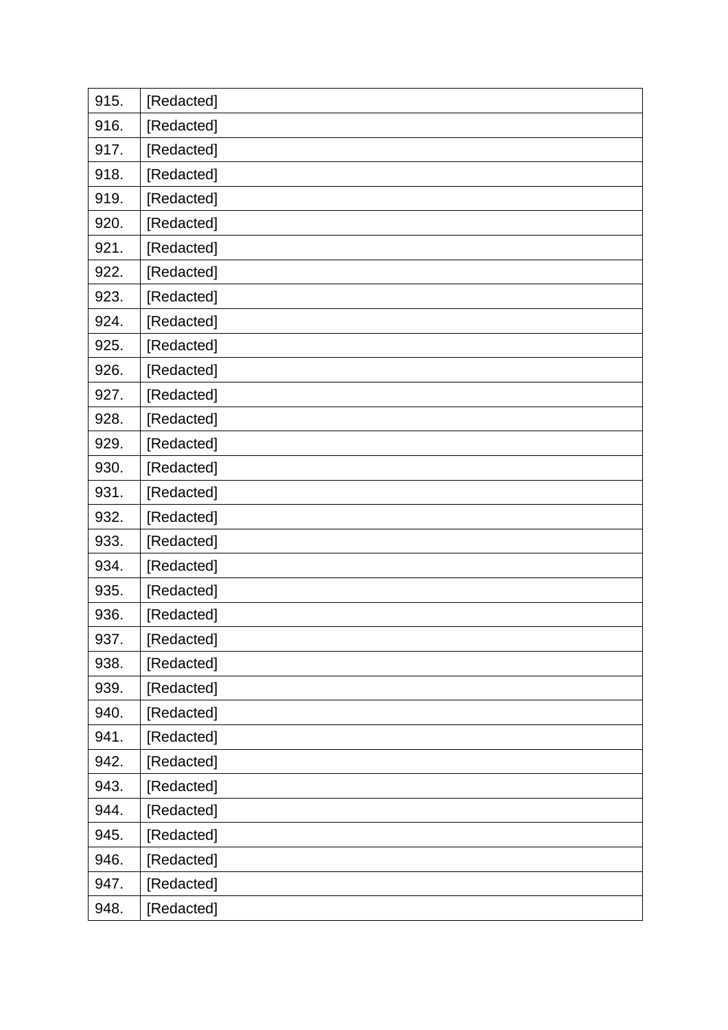| 915. | [Redacted] |
|------|------------|
| 916. | [Redacted] |
| 917. | [Redacted] |
| 918. | [Redacted] |
| 919. | [Redacted] |
| 920. | [Redacted] |
| 921. | [Redacted] |
| 922. | [Redacted] |
| 923. | [Redacted] |
| 924. | [Redacted] |
| 925. | [Redacted] |
| 926. | [Redacted] |
| 927. | [Redacted] |
| 928. | [Redacted] |
| 929. | [Redacted] |
| 930. | [Redacted] |
| 931. | [Redacted] |
| 932. | [Redacted] |
| 933. | [Redacted] |
| 934. | [Redacted] |
| 935. | [Redacted] |
| 936. | [Redacted] |
| 937. | [Redacted] |
| 938. | [Redacted] |
| 939. | [Redacted] |
| 940. | [Redacted] |
| 941. | [Redacted] |
| 942. | [Redacted] |
| 943. | [Redacted] |
| 944. | [Redacted] |
| 945. | [Redacted] |
| 946. | [Redacted] |
| 947. | [Redacted] |
| 948. | [Redacted] |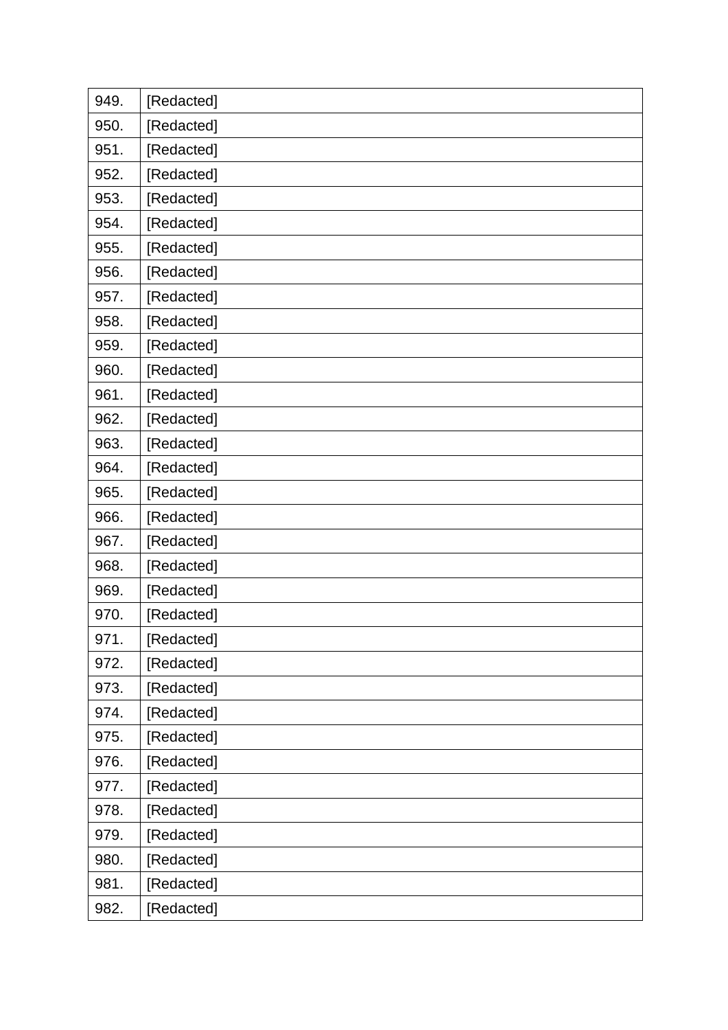| 949. | [Redacted] |
|------|------------|
| 950. | [Redacted] |
| 951. | [Redacted] |
| 952. | [Redacted] |
| 953. | [Redacted] |
| 954. | [Redacted] |
| 955. | [Redacted] |
| 956. | [Redacted] |
| 957. | [Redacted] |
| 958. | [Redacted] |
| 959. | [Redacted] |
| 960. | [Redacted] |
| 961. | [Redacted] |
| 962. | [Redacted] |
| 963. | [Redacted] |
| 964. | [Redacted] |
| 965. | [Redacted] |
| 966. | [Redacted] |
| 967. | [Redacted] |
| 968. | [Redacted] |
| 969. | [Redacted] |
| 970. | [Redacted] |
| 971. | [Redacted] |
| 972. | [Redacted] |
| 973. | [Redacted] |
| 974. | [Redacted] |
| 975. | [Redacted] |
| 976. | [Redacted] |
| 977. | [Redacted] |
| 978. | [Redacted] |
| 979. | [Redacted] |
| 980. | [Redacted] |
| 981. | [Redacted] |
| 982. | [Redacted] |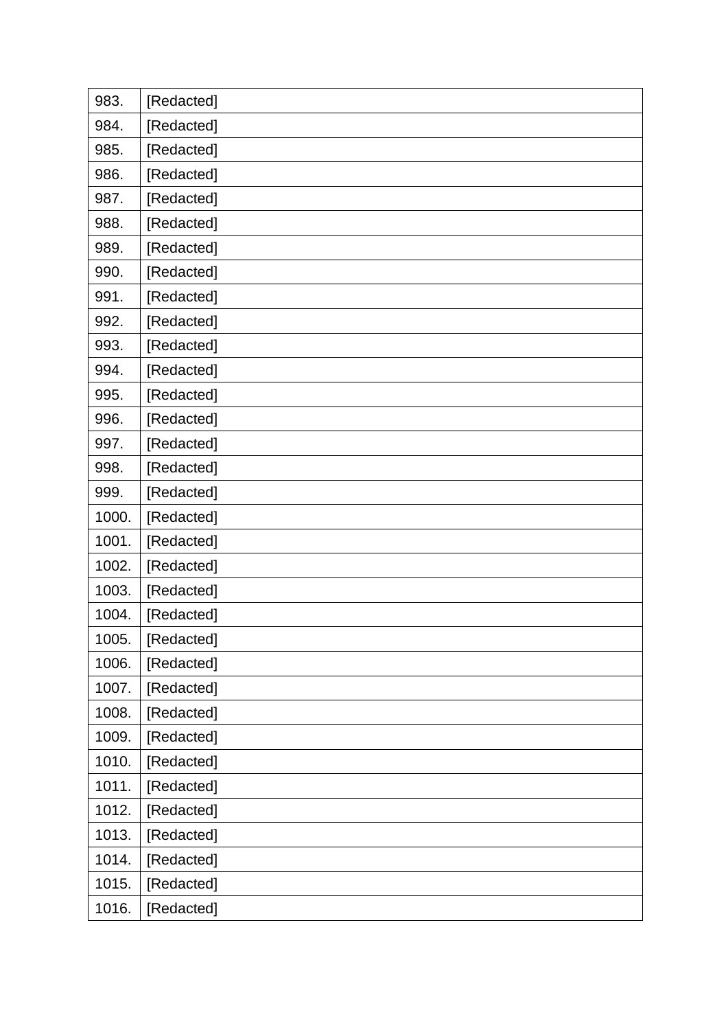| 983.  | [Redacted] |
|-------|------------|
| 984.  | [Redacted] |
| 985.  | [Redacted] |
| 986.  | [Redacted] |
| 987.  | [Redacted] |
| 988.  | [Redacted] |
| 989.  | [Redacted] |
| 990.  | [Redacted] |
| 991.  | [Redacted] |
| 992.  | [Redacted] |
| 993.  | [Redacted] |
| 994.  | [Redacted] |
| 995.  | [Redacted] |
| 996.  | [Redacted] |
| 997.  | [Redacted] |
| 998.  | [Redacted] |
| 999.  | [Redacted] |
| 1000. | [Redacted] |
| 1001. | [Redacted] |
| 1002. | [Redacted] |
| 1003. |            |
|       | [Redacted] |
| 1004. | [Redacted] |
| 1005. | [Redacted] |
| 1006. | [Redacted] |
| 1007. | [Redacted] |
| 1008. | [Redacted] |
| 1009. | [Redacted] |
| 1010. | [Redacted] |
| 1011. | [Redacted] |
| 1012. | [Redacted] |
| 1013. | [Redacted] |
| 1014. | [Redacted] |
| 1015. | [Redacted] |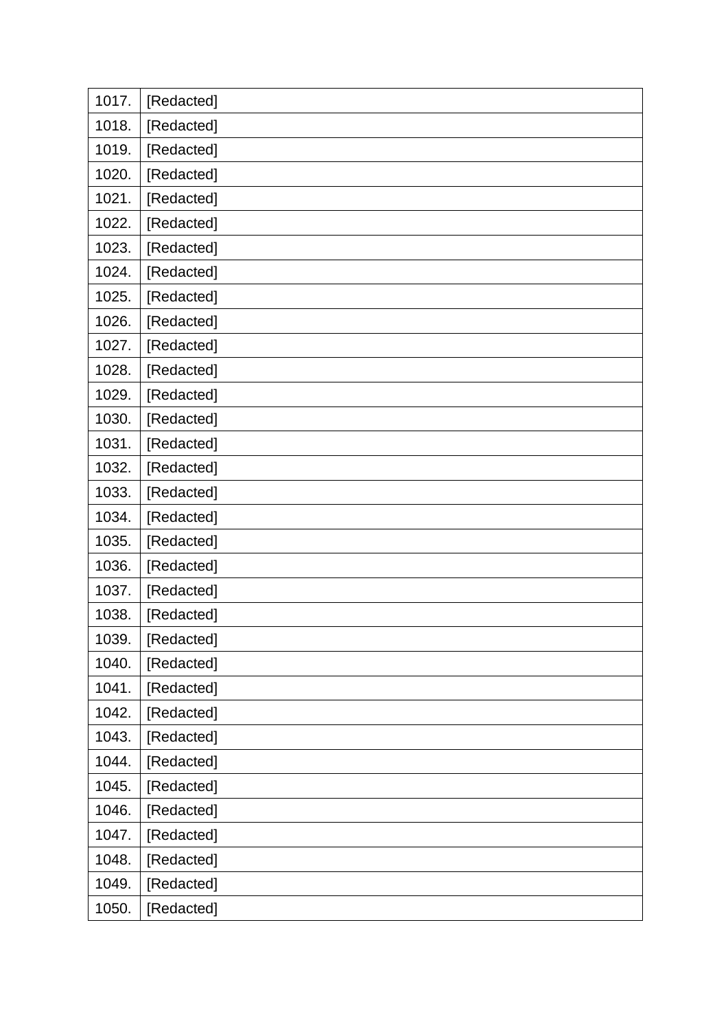| 1017. | [Redacted] |
|-------|------------|
| 1018. | [Redacted] |
| 1019. | [Redacted] |
| 1020. | [Redacted] |
| 1021. | [Redacted] |
| 1022. | [Redacted] |
| 1023. | [Redacted] |
| 1024. | [Redacted] |
| 1025. | [Redacted] |
| 1026. | [Redacted] |
| 1027. | [Redacted] |
| 1028. | [Redacted] |
| 1029. | [Redacted] |
| 1030. | [Redacted] |
| 1031. | [Redacted] |
| 1032. | [Redacted] |
| 1033. | [Redacted] |
| 1034. | [Redacted] |
| 1035. | [Redacted] |
| 1036. | [Redacted] |
| 1037. | [Redacted] |
| 1038. | [Redacted] |
| 1039. | [Redacted] |
| 1040. | [Redacted] |
| 1041. | [Redacted] |
| 1042. | [Redacted] |
| 1043. | [Redacted] |
| 1044. | [Redacted] |
| 1045. | [Redacted] |
| 1046. | [Redacted] |
| 1047. | [Redacted] |
| 1048. | [Redacted] |
| 1049. | [Redacted] |
| 1050. | [Redacted] |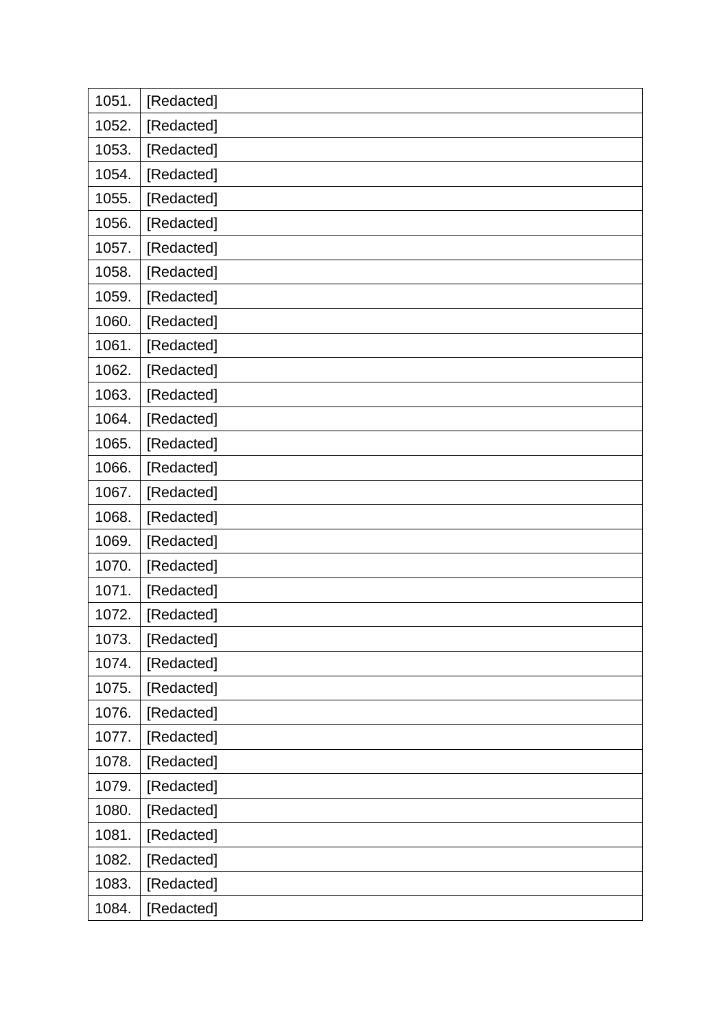| 1051. | [Redacted] |
|-------|------------|
| 1052. | [Redacted] |
| 1053. | [Redacted] |
| 1054. | [Redacted] |
| 1055. | [Redacted] |
| 1056. | [Redacted] |
| 1057. | [Redacted] |
| 1058. | [Redacted] |
| 1059. | [Redacted] |
| 1060. | [Redacted] |
| 1061. | [Redacted] |
| 1062. | [Redacted] |
| 1063. | [Redacted] |
| 1064. | [Redacted] |
| 1065. | [Redacted] |
| 1066. | [Redacted] |
| 1067. | [Redacted] |
| 1068. | [Redacted] |
| 1069. | [Redacted] |
| 1070. | [Redacted] |
| 1071. | [Redacted] |
| 1072. | [Redacted] |
| 1073. | [Redacted] |
| 1074. | [Redacted] |
| 1075. | [Redacted] |
| 1076. | [Redacted] |
| 1077. | [Redacted] |
| 1078. | [Redacted] |
| 1079. | [Redacted] |
| 1080. | [Redacted] |
| 1081. | [Redacted] |
| 1082. | [Redacted] |
| 1083. | [Redacted] |
| 1084. | [Redacted] |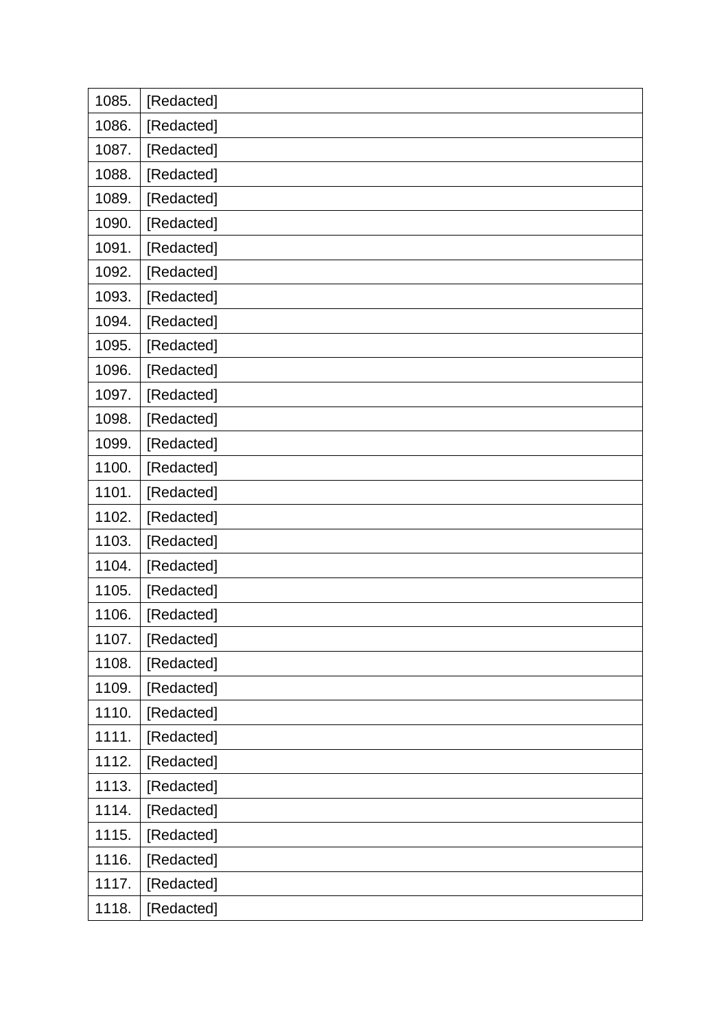| 1085. | [Redacted] |
|-------|------------|
| 1086. | [Redacted] |
| 1087. | [Redacted] |
| 1088. | [Redacted] |
| 1089. | [Redacted] |
| 1090. | [Redacted] |
| 1091. | [Redacted] |
| 1092. | [Redacted] |
| 1093. | [Redacted] |
| 1094. | [Redacted] |
| 1095. | [Redacted] |
| 1096. | [Redacted] |
| 1097. | [Redacted] |
| 1098. | [Redacted] |
| 1099. | [Redacted] |
| 1100. | [Redacted] |
| 1101. | [Redacted] |
| 1102. | [Redacted] |
| 1103. | [Redacted] |
| 1104. | [Redacted] |
| 1105. | [Redacted] |
| 1106. | [Redacted] |
| 1107. | [Redacted] |
| 1108. | [Redacted] |
| 1109. | [Redacted] |
| 1110. | [Redacted] |
| 1111. | [Redacted] |
| 1112. | [Redacted] |
| 1113. | [Redacted] |
| 1114. | [Redacted] |
| 1115. | [Redacted] |
| 1116. | [Redacted] |
| 1117. | [Redacted] |
| 1118. | [Redacted] |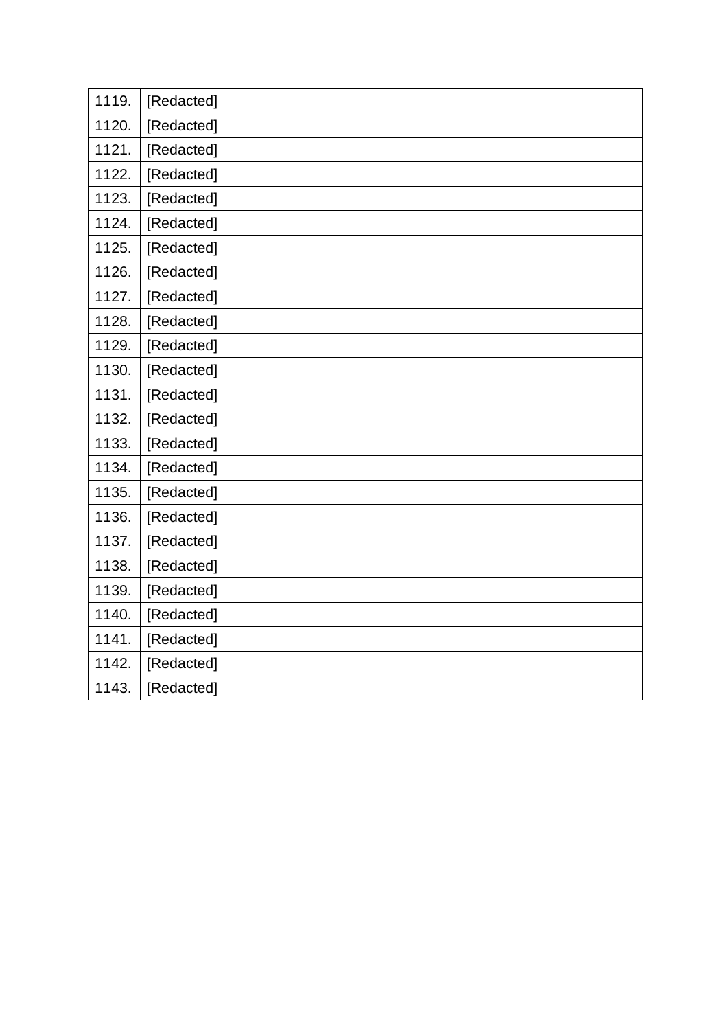| 1119. | [Redacted] |
|-------|------------|
| 1120. | [Redacted] |
| 1121. | [Redacted] |
| 1122. | [Redacted] |
| 1123. | [Redacted] |
| 1124. | [Redacted] |
| 1125. | [Redacted] |
| 1126. | [Redacted] |
| 1127. | [Redacted] |
| 1128. | [Redacted] |
| 1129. | [Redacted] |
| 1130. | [Redacted] |
| 1131. | [Redacted] |
| 1132. | [Redacted] |
| 1133. | [Redacted] |
| 1134. | [Redacted] |
| 1135. | [Redacted] |
| 1136. | [Redacted] |
| 1137. | [Redacted] |
| 1138. | [Redacted] |
| 1139. | [Redacted] |
| 1140. | [Redacted] |
| 1141. | [Redacted] |
| 1142. | [Redacted] |
| 1143. | [Redacted] |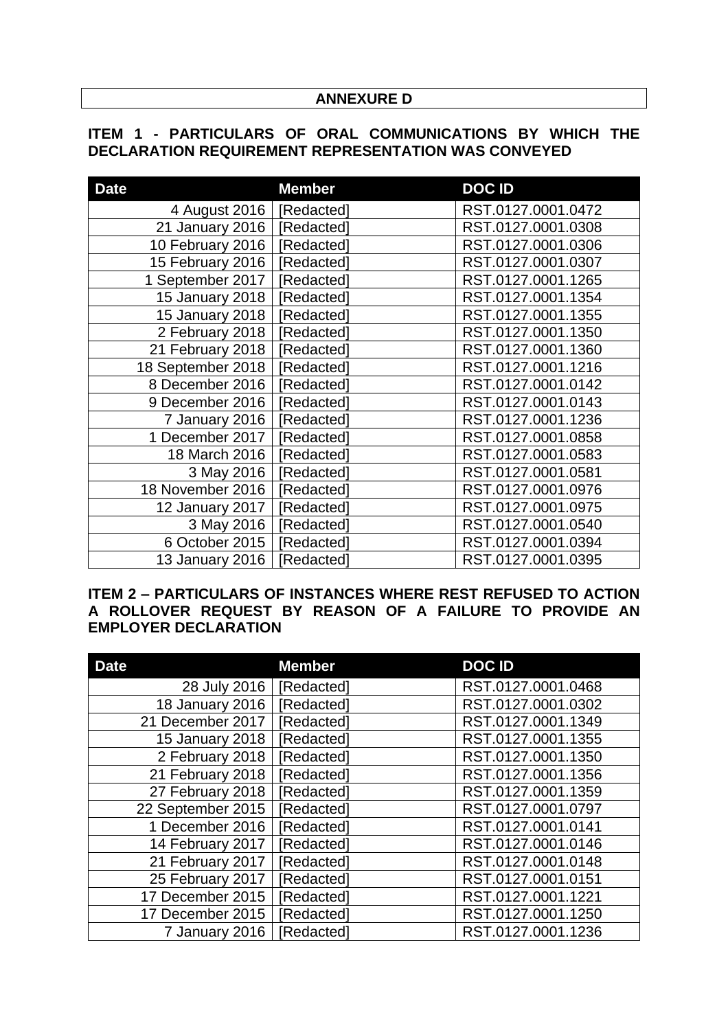## **ANNEXURE D**

# **ITEM 1 - PARTICULARS OF ORAL COMMUNICATIONS BY WHICH THE DECLARATION REQUIREMENT REPRESENTATION WAS CONVEYED**

| <b>Date</b>       | <b>Member</b> | <b>DOCID</b>       |
|-------------------|---------------|--------------------|
| 4 August 2016     | [Redacted]    | RST.0127.0001.0472 |
| 21 January 2016   | [Redacted]    | RST.0127.0001.0308 |
| 10 February 2016  | [Redacted]    | RST.0127.0001.0306 |
| 15 February 2016  | [Redacted]    | RST.0127.0001.0307 |
| 1 September 2017  | [Redacted]    | RST.0127.0001.1265 |
| 15 January 2018   | [Redacted]    | RST.0127.0001.1354 |
| 15 January 2018   | [Redacted]    | RST.0127.0001.1355 |
| 2 February 2018   | [Redacted]    | RST.0127.0001.1350 |
| 21 February 2018  | [Redacted]    | RST.0127.0001.1360 |
| 18 September 2018 | [Redacted]    | RST.0127.0001.1216 |
| 8 December 2016   | [Redacted]    | RST.0127.0001.0142 |
| 9 December 2016   | [Redacted]    | RST.0127.0001.0143 |
| 7 January 2016    | [Redacted]    | RST.0127.0001.1236 |
| 1 December 2017   | [Redacted]    | RST.0127.0001.0858 |
| 18 March 2016     | [Redacted]    | RST.0127.0001.0583 |
| 3 May 2016        | [Redacted]    | RST.0127.0001.0581 |
| 18 November 2016  | [Redacted]    | RST.0127.0001.0976 |
| 12 January 2017   | [Redacted]    | RST.0127.0001.0975 |
| 3 May 2016        | [Redacted]    | RST.0127.0001.0540 |
| 6 October 2015    | [Redacted]    | RST.0127.0001.0394 |
| 13 January 2016   | [Redacted]    | RST.0127.0001.0395 |

**ITEM 2 – PARTICULARS OF INSTANCES WHERE REST REFUSED TO ACTION A ROLLOVER REQUEST BY REASON OF A FAILURE TO PROVIDE AN EMPLOYER DECLARATION**

| <b>Date</b>       | <b>Member</b> | <b>DOCID</b>       |
|-------------------|---------------|--------------------|
| 28 July 2016      | [Redacted]    | RST.0127.0001.0468 |
| 18 January 2016   | [Redacted]    | RST.0127.0001.0302 |
| 21 December 2017  | [Redacted]    | RST.0127.0001.1349 |
| 15 January 2018   | [Redacted]    | RST.0127.0001.1355 |
| 2 February 2018   | [Redacted]    | RST.0127.0001.1350 |
| 21 February 2018  | [Redacted]    | RST.0127.0001.1356 |
| 27 February 2018  | [Redacted]    | RST.0127.0001.1359 |
| 22 September 2015 | [Redacted]    | RST.0127.0001.0797 |
| 1 December 2016   | [Redacted]    | RST.0127.0001.0141 |
| 14 February 2017  | [Redacted]    | RST.0127.0001.0146 |
| 21 February 2017  | [Redacted]    | RST.0127.0001.0148 |
| 25 February 2017  | [Redacted]    | RST.0127.0001.0151 |
| 17 December 2015  | [Redacted]    | RST.0127.0001.1221 |
| 17 December 2015  | [Redacted]    | RST.0127.0001.1250 |
| 7 January 2016    | Redactedl     | RST.0127.0001.1236 |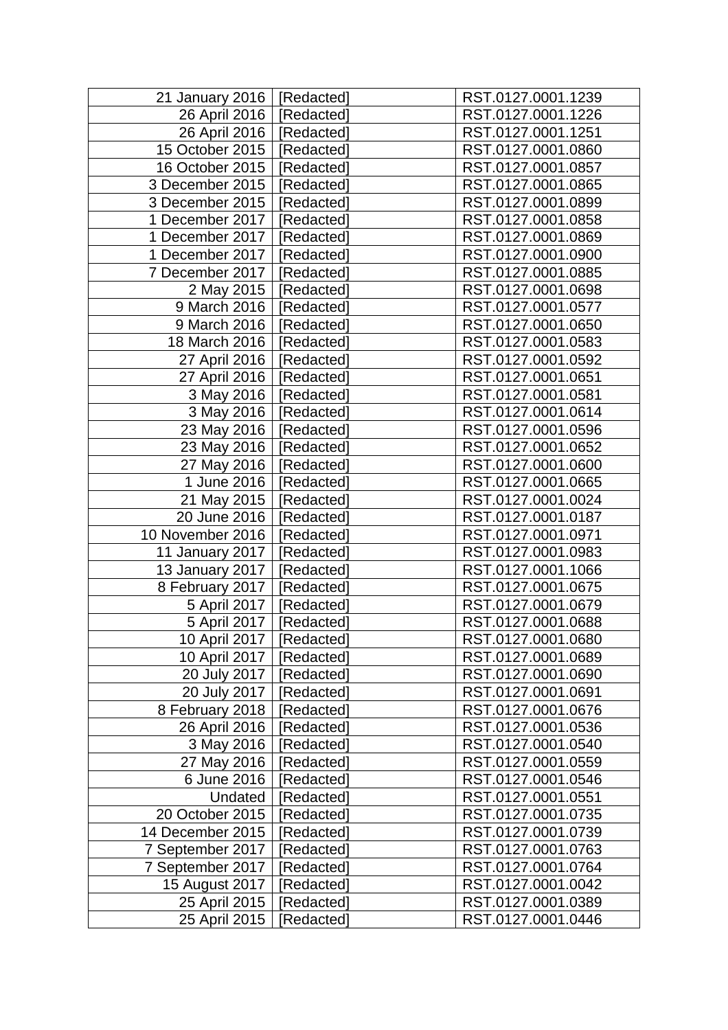| 21 January 2016  | [Redacted] | RST.0127.0001.1239 |
|------------------|------------|--------------------|
| 26 April 2016    | [Redacted] | RST.0127.0001.1226 |
| 26 April 2016    | [Redacted] | RST.0127.0001.1251 |
| 15 October 2015  | [Redacted] | RST.0127.0001.0860 |
| 16 October 2015  | [Redacted] | RST.0127.0001.0857 |
| 3 December 2015  | Redacted]  | RST.0127.0001.0865 |
| 3 December 2015  | [Redacted] | RST.0127.0001.0899 |
| 1 December 2017  | [Redacted] | RST.0127.0001.0858 |
| 1 December 2017  | [Redacted] | RST.0127.0001.0869 |
| 1 December 2017  | [Redacted] | RST.0127.0001.0900 |
| 7 December 2017  | [Redacted] | RST.0127.0001.0885 |
| 2 May 2015       | [Redacted] | RST.0127.0001.0698 |
| 9 March 2016     | [Redacted] | RST.0127.0001.0577 |
| 9 March 2016     | [Redacted] | RST.0127.0001.0650 |
| 18 March 2016    | [Redacted] | RST.0127.0001.0583 |
| 27 April 2016    | [Redacted] | RST.0127.0001.0592 |
| 27 April 2016    | [Redacted] | RST.0127.0001.0651 |
| 3 May 2016       | [Redacted] | RST.0127.0001.0581 |
| 3 May 2016       | [Redacted] | RST.0127.0001.0614 |
| 23 May 2016      | [Redacted] | RST.0127.0001.0596 |
| 23 May 2016      | [Redacted] | RST.0127.0001.0652 |
| 27 May 2016      | [Redacted] | RST.0127.0001.0600 |
| 1 June 2016      | [Redacted] | RST.0127.0001.0665 |
| 21 May 2015      | [Redacted] | RST.0127.0001.0024 |
| 20 June 2016     | [Redacted] | RST.0127.0001.0187 |
| 10 November 2016 | [Redacted] | RST.0127.0001.0971 |
| 11 January 2017  | [Redacted] | RST.0127.0001.0983 |
| 13 January 2017  | [Redacted] | RST.0127.0001.1066 |
| 8 February 2017  | [Redacted] | RST.0127.0001.0675 |
| 5 April 2017     | [Redacted] | RST.0127.0001.0679 |
| 5 April 2017     | [Redacted] | RST.0127.0001.0688 |
| 10 April 2017    | [Redacted] | RST.0127.0001.0680 |
| 10 April 2017    | [Redacted] | RST.0127.0001.0689 |
| 20 July 2017     | [Redacted] | RST.0127.0001.0690 |
| 20 July 2017     | [Redacted] | RST.0127.0001.0691 |
| 8 February 2018  | [Redacted] | RST.0127.0001.0676 |
| 26 April 2016    | [Redacted] | RST.0127.0001.0536 |
| 3 May 2016       | [Redacted] | RST.0127.0001.0540 |
| 27 May 2016      | [Redacted] | RST.0127.0001.0559 |
| 6 June 2016      | [Redacted] | RST.0127.0001.0546 |
| Undated          | [Redacted] | RST.0127.0001.0551 |
| 20 October 2015  | Redacted]  | RST.0127.0001.0735 |
| 14 December 2015 | [Redacted] | RST.0127.0001.0739 |
| 7 September 2017 | Redacted]  | RST.0127.0001.0763 |
| 7 September 2017 | Redacted]  | RST.0127.0001.0764 |
| 15 August 2017   | [Redacted] | RST.0127.0001.0042 |
| 25 April 2015    | Redacted]  | RST.0127.0001.0389 |
| 25 April 2015    | [Redacted] | RST.0127.0001.0446 |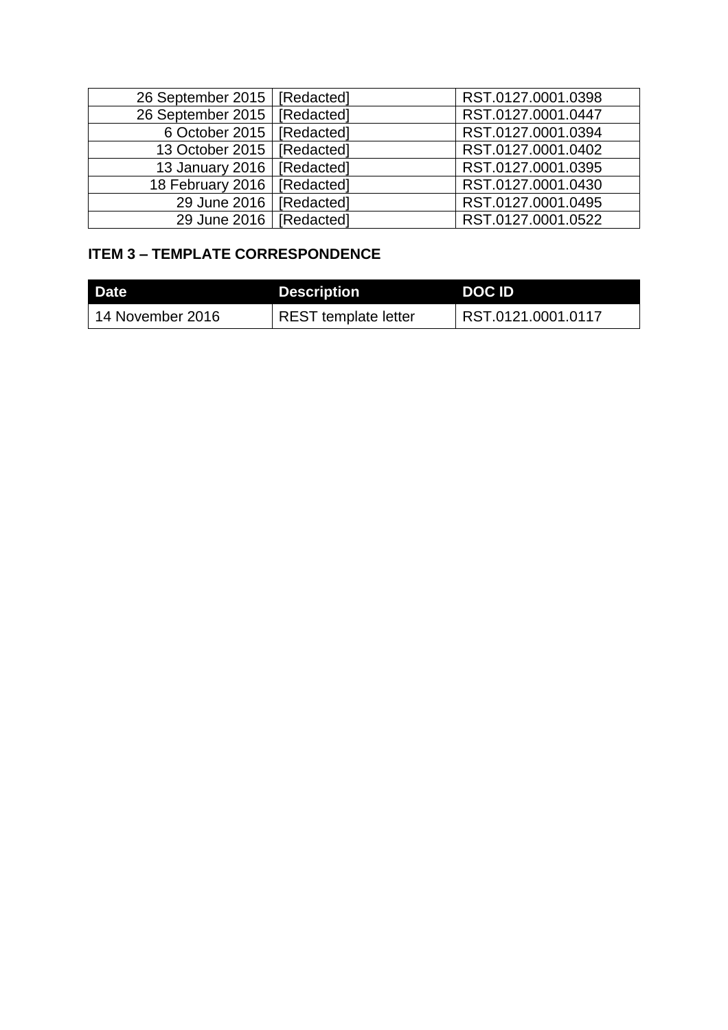| 26 September 2015   [Redacted] |            | RST.0127.0001.0398 |
|--------------------------------|------------|--------------------|
| 26 September 2015              | [Redacted] | RST.0127.0001.0447 |
| 6 October 2015   [Redacted]    |            | RST.0127.0001.0394 |
| 13 October 2015   [Redacted]   |            | RST.0127.0001.0402 |
| 13 January 2016   [Redacted]   |            | RST.0127.0001.0395 |
| 18 February 2016   [Redacted]  |            | RST.0127.0001.0430 |
| 29 June 2016                   | [Redacted] | RST.0127.0001.0495 |
| 29 June 2016   [Redacted]      |            | RST.0127.0001.0522 |

# **ITEM 3 – TEMPLATE CORRESPONDENCE**

| Date             | <b>Description</b>   | DOC ID             |
|------------------|----------------------|--------------------|
| 14 November 2016 | REST template letter | RST.0121.0001.0117 |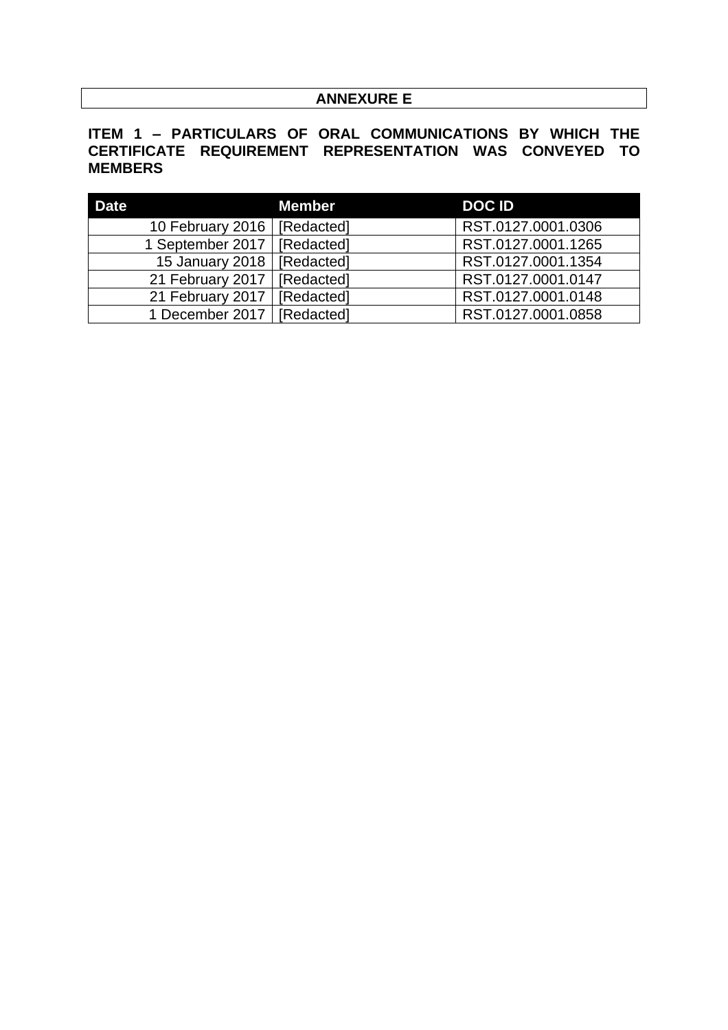# **ANNEXURE E**

# **ITEM 1 – PARTICULARS OF ORAL COMMUNICATIONS BY WHICH THE CERTIFICATE REQUIREMENT REPRESENTATION WAS CONVEYED TO MEMBERS**

| <b>Date</b>                   | <b>Member</b> | <b>DOCID</b>       |
|-------------------------------|---------------|--------------------|
| 10 February 2016   [Redacted] |               | RST.0127.0001.0306 |
| 1 September 2017   [Redacted] |               | RST.0127.0001.1265 |
| 15 January 2018               | [Redacted]    | RST.0127.0001.1354 |
| 21 February 2017   [Redacted] |               | RST.0127.0001.0147 |
| 21 February 2017              | [Redacted]    | RST.0127.0001.0148 |
| 1 December 2017   [Redacted]  |               | RST.0127.0001.0858 |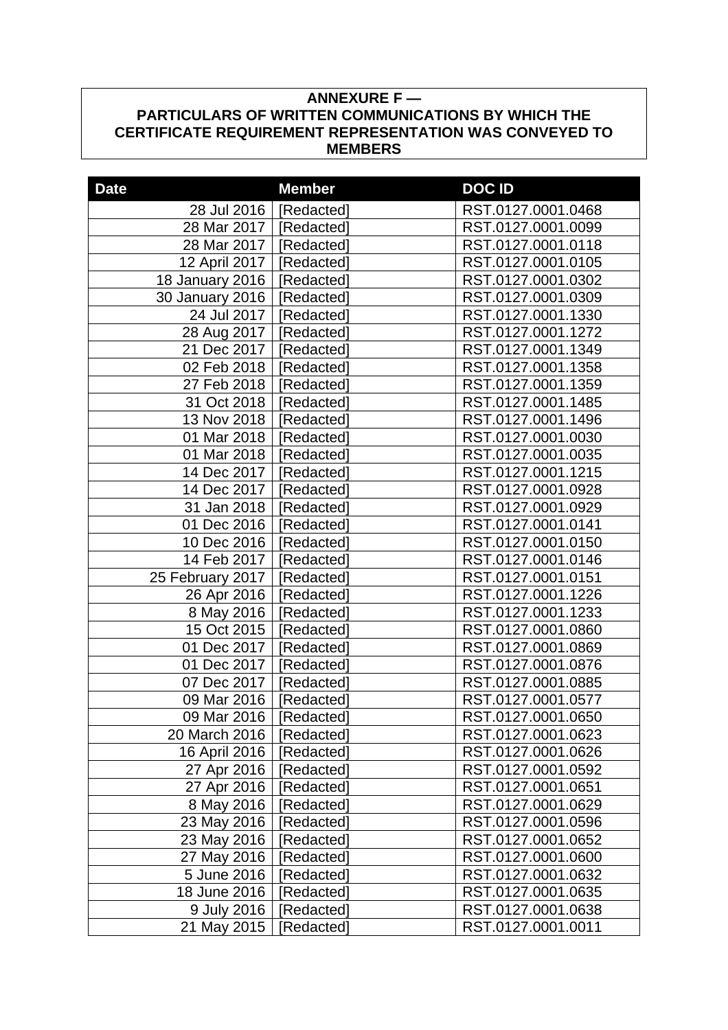# **ANNEXURE F — PARTICULARS OF WRITTEN COMMUNICATIONS BY WHICH THE CERTIFICATE REQUIREMENT REPRESENTATION WAS CONVEYED TO MEMBERS**

| <b>Date</b>            | <b>Member</b> | <b>DOCID</b>       |
|------------------------|---------------|--------------------|
| 28 Jul 2016            | [Redacted]    | RST.0127.0001.0468 |
| 28 Mar 2017            | [Redacted]    | RST.0127.0001.0099 |
| 28 Mar 2017            | [Redacted]    | RST.0127.0001.0118 |
| 12 April 2017          | [Redacted]    | RST.0127.0001.0105 |
| <b>18 January 2016</b> | [Redacted]    | RST.0127.0001.0302 |
| 30 January 2016        | [Redacted]    | RST.0127.0001.0309 |
| 24 Jul 2017            | [Redacted]    | RST.0127.0001.1330 |
| 28 Aug 2017            | [Redacted]    | RST.0127.0001.1272 |
| 21 Dec 2017            | [Redacted]    | RST.0127.0001.1349 |
| 02 Feb 2018            | [Redacted]    | RST.0127.0001.1358 |
| 27 Feb 2018            | [Redacted]    | RST.0127.0001.1359 |
| 31 Oct 2018            | [Redacted]    | RST.0127.0001.1485 |
| 13 Nov 2018            | [Redacted]    | RST.0127.0001.1496 |
| 01 Mar 2018            | [Redacted]    | RST.0127.0001.0030 |
| 01 Mar 2018            | [Redacted]    | RST.0127.0001.0035 |
| 14 Dec 2017            | [Redacted]    | RST.0127.0001.1215 |
| 14 Dec 2017            | [Redacted]    | RST.0127.0001.0928 |
| 31 Jan 2018            | [Redacted]    | RST.0127.0001.0929 |
| 01 Dec 2016            | [Redacted]    | RST.0127.0001.0141 |
| 10 Dec 2016            | [Redacted]    | RST.0127.0001.0150 |
| 14 Feb 2017            | [Redacted]    | RST.0127.0001.0146 |
| 25 February 2017       | [Redacted]    | RST.0127.0001.0151 |
| 26 Apr 2016            | [Redacted]    | RST.0127.0001.1226 |
| 8 May 2016             | [Redacted]    | RST.0127.0001.1233 |
| 15 Oct 2015            | [Redacted]    | RST.0127.0001.0860 |
| 01 Dec 2017            | [Redacted]    | RST.0127.0001.0869 |
| 01 Dec 2017            | [Redacted]    | RST.0127.0001.0876 |
| 07 Dec 2017            | [Redacted]    | RST.0127.0001.0885 |
| 09 Mar 2016            | [Redacted]    | RST.0127.0001.0577 |
| 09 Mar 2016            | [Redacted]    | RST.0127.0001.0650 |
| 20 March 2016          | [Redacted]    | RST.0127.0001.0623 |
| 16 April 2016          | [Redacted]    | RST.0127.0001.0626 |
| 27 Apr 2016            | [Redacted]    | RST.0127.0001.0592 |
| 27 Apr 2016            | [Redacted]    | RST.0127.0001.0651 |
| 8 May 2016             | [Redacted]    | RST.0127.0001.0629 |
| 23 May 2016            | [Redacted]    | RST.0127.0001.0596 |
| 23 May 2016            | [Redacted]    | RST.0127.0001.0652 |
| 27 May 2016            | [Redacted]    | RST.0127.0001.0600 |
| 5 June 2016            | [Redacted]    | RST.0127.0001.0632 |
| 18 June 2016           | [Redacted]    | RST.0127.0001.0635 |
| 9 July 2016            | [Redacted]    | RST.0127.0001.0638 |
| 21 May 2015            | Redacted]     | RST.0127.0001.0011 |